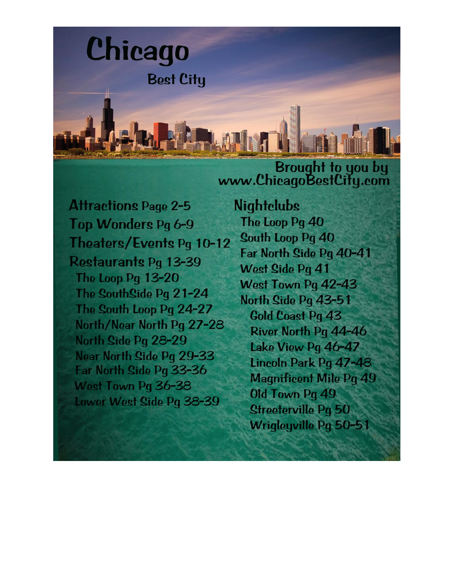

**Attractions Page 2-5** Top Wonders Pg 6-9 Theaters/Events Pg 10-12 Restaurants Pg 13-39 The Loop Pg 13-20 The SouthSide Pg 21-24 The South Loop Pg 24-27 North/Near North Pg 27-28 North Side Pq 28-29 Near North Side Pq 29-33 Far North Side Pg 33-36 West Town Pg 36-38 Lower West Side Pg 38-39

**Nightelubs** The Loop Pg 40 South Loop Pq 40 Far North Side Pg 40-41 West Side Pa 41 West Town Pg 42-43 North Side Pg 43-51 **Gold Coast Pq 43** River North Pq 44-46 Lake View Pg 46-47 Lincoln Park Pq 47-48 **Magnificent Mile Pg 49** Old Town Pq 49 **Streeterville Pg 50 Wrigleyville Pg 50-51**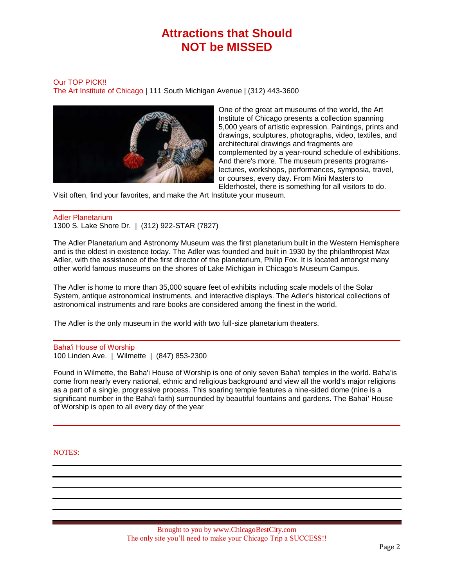# **Attractions that Should NOT be MISSED**

#### Our TOP PICK!! The Art Institute of Chicago | 111 South Michigan Avenue | (312) 443-3600



One of the great art museums of the world, the Art Institute of Chicago presents a collection spanning 5,000 years of artistic expression. Paintings, prints and drawings, sculptures, photographs, video, textiles, and architectural drawings and fragments are complemented by a year-round schedule of exhibitions. And there's more. The museum presents programslectures, workshops, performances, symposia, travel, or courses, every day. From Mini Masters to Elderhostel, there is something for all visitors to do.

Visit often, find your favorites, and make the Art Institute your museum.

## Adler Planetarium

1300 S. Lake Shore Dr. | (312) 922-STAR (7827)

The Adler Planetarium and Astronomy Museum was the first planetarium built in the Western Hemisphere and is the oldest in existence today. The Adler was founded and built in 1930 by the philanthropist Max Adler, with the assistance of the first director of the planetarium, Philip Fox. It is located amongst many other world famous museums on the shores of Lake Michigan in Chicago's Museum Campus.

The Adler is home to more than 35,000 square feet of exhibits including scale models of the Solar System, antique astronomical instruments, and interactive displays. The Adler's historical collections of astronomical instruments and rare books are considered among the finest in the world.

The Adler is the only museum in the world with two full-size planetarium theaters.

Baha'i House of Worship 100 Linden Ave. | Wilmette | (847) 853-2300

Found in Wilmette, the Baha'i House of Worship is one of only seven Baha'i temples in the world. Baha'is come from nearly every national, ethnic and religious background and view all the world's major religions as a part of a single, progressive process. This soaring temple features a nine-sided dome (nine is a significant number in the Baha'i faith) surrounded by beautiful fountains and gardens. The Bahai' House of Worship is open to all every day of the year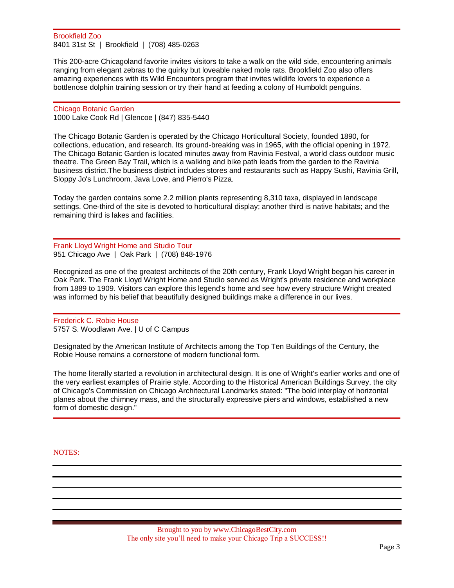#### Brookfield Zoo 8401 31st St | Brookfield | (708) 485-0263

This 200-acre Chicagoland favorite invites visitors to take a walk on the wild side, encountering animals ranging from elegant zebras to the quirky but loveable naked mole rats. Brookfield Zoo also offers amazing experiences with its Wild Encounters program that invites wildlife lovers to experience a bottlenose dolphin training session or try their hand at feeding a colony of Humboldt penguins.

Chicago Botanic Garden 1000 Lake Cook Rd | Glencoe | (847) 835-5440

The Chicago Botanic Garden is operated by the Chicago Horticultural Society, founded 1890, for collections, education, and research. Its ground-breaking was in 1965, with the official opening in 1972. The Chicago Botanic Garden is located minutes away from Ravinia Festval, a world class outdoor music theatre. The Green Bay Trail, which is a walking and bike path leads from the garden to the Ravinia business district.The business district includes stores and restaurants such as Happy Sushi, Ravinia Grill, Sloppy Jo's Lunchroom, Java Love, and Pierro's Pizza.

Today the garden contains some 2.2 million plants representing 8,310 taxa, displayed in landscape settings. One-third of the site is devoted to horticultural display; another third is native habitats; and the remaining third is lakes and facilities.

## Frank Lloyd Wright Home and Studio Tour 951 Chicago Ave | Oak Park | (708) 848-1976

Recognized as one of the greatest architects of the 20th century, Frank Lloyd Wright began his career in Oak Park. The Frank Lloyd Wright Home and Studio served as Wright's private residence and workplace from 1889 to 1909. Visitors can explore this legend's home and see how every structure Wright created was informed by his belief that beautifully designed buildings make a difference in our lives.

Frederick C. Robie House 5757 S. Woodlawn Ave. | U of C Campus

Designated by the American Institute of Architects among the Top Ten Buildings of the Century, the Robie House remains a cornerstone of modern functional form.

The home literally started a revolution in architectural design. It is one of Wright's earlier works and one of the very earliest examples of Prairie style. According to the Historical American Buildings Survey, the city of Chicago's Commission on Chicago Architectural Landmarks stated: "The bold interplay of horizontal planes about the chimney mass, and the structurally expressive piers and windows, established a new form of domestic design."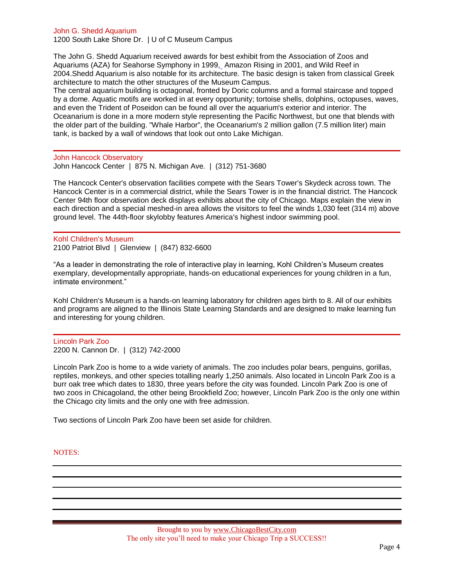John G. Shedd Aquarium

1200 South Lake Shore Dr. | U of C Museum Campus

The John G. Shedd Aquarium received awards for best exhibit from the Association of Zoos and Aquariums (AZA) for Seahorse Symphony in 1999[,](http://www.kqzyfj.com/click-2388614-10415819) Amazon Rising in 2001, and Wild Reef in 2004.Shedd Aquarium is also notable for its architecture. The basic design is taken from classical Greek architecture to match the other structures of the Museum Campus.

The central aquarium building is octagonal, fronted by Doric columns and a formal staircase and topped by a dome. Aquatic motifs are worked in at every opportunity; tortoise shells, dolphins, octopuses, waves, and even the Trident of Poseidon can be found all over the aquarium's exterior and interior. The Oceanarium is done in a more modern style representing the Pacific Northwest, but one that blends with the older part of the building. "Whale Harbor", the Oceanarium's 2 million gallon (7.5 million liter) main tank, is backed by a wall of windows that look out onto Lake Michigan.

John Hancock Observatory John Hancock Center | 875 N. Michigan Ave. | (312) 751-3680

The Hancock Center's observation facilities compete with the Sears Tower's Skydeck across town. The Hancock Center is in a commercial district, while the Sears Tower is in the financial district. The Hancock Center 94th floor observation deck displays exhibits about the city of Chicago. Maps explain the view in each direction and a special meshed-in area allows the visitors to feel the winds 1,030 feet (314 m) above ground level. The 44th-floor skylobby features America's highest indoor swimming pool.

Kohl Children's Museum 2100 Patriot Blvd | Glenview | (847) 832-6600

"As a leader in demonstrating the role of interactive play in learning, Kohl Children's Museum creates exemplary, developmentally appropriate, hands-on educational experiences for young children in a fun, intimate environment."

Kohl Children's Museum is a hands-on learning laboratory for children ages birth to 8. All of our exhibits and programs are aligned to the Illinois State Learning Standards and are designed to make learning fun and interesting for young children.

Lincoln Park Zoo 2200 N. Cannon Dr. | (312) 742-2000

Lincoln Park Zoo is home to a wide variety of animals. The zoo includes polar bears, penguins, gorillas, reptiles, monkeys, and other species totalling nearly 1,250 animals. Also located in Lincoln Park Zoo is a burr oak tree which dates to 1830, three years before the city was founded. Lincoln Park Zoo is one of two zoos in Chicagoland, the other being Brookfield Zoo; however, Lincoln Park Zoo is the only one within the Chicago city limits and the only one with free admission.

Two sections of Lincoln Park Zoo have been set aside for children.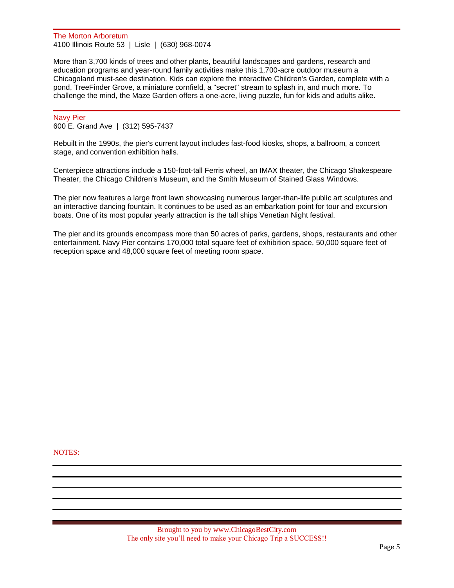The Morton Arboretum 4100 Illinois Route 53 | Lisle | (630) 968-0074

More than 3,700 kinds of trees and other plants, beautiful landscapes and gardens, research and education programs and year-round family activities make this 1,700-acre outdoor museum a Chicagoland must-see destination. Kids can explore the interactive Children's Garden, complete with a pond, TreeFinder Grove, a miniature cornfield, a "secret" stream to splash in, and much more. To challenge the mind, the Maze Garden offers a one-acre, living puzzle, fun for kids and adults alike.

#### Navy Pier

600 E. Grand Ave | (312) 595-7437

Rebuilt in the 1990s, the pier's current layout includes fast-food kiosks, shops, a ballroom, a concert stage, and convention exhibition halls[.](http://www.dpbolvw.net/click-2388614-10426312)

Centerpiece attractions include a 150-foot-tall Ferris wheel, an IMAX theater, the Chicago Shakespeare Theater, the Chicago Children's Museum, and the Smith Museum of Stained Glass Windows.

The pier now features a large front lawn showcasing numerous larger-than-life public art sculptures and an interactive dancing fountain. It continues to be used as an embarkation point for tour and excursion boats. One of its most popular yearly attraction is the tall ships Venetian Night festival.

The pier and its grounds encompass more than 50 acres of parks, gardens, shops, restaurants and other entertainment. Navy Pier contains 170,000 total square feet of exhibition space, 50,000 square feet of reception space and 48,000 square feet of meeting room space.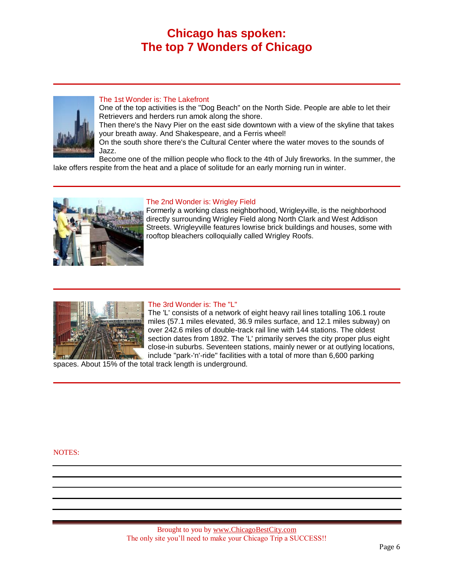## **Chicago has spoken: The top 7 Wonders of Chicago**



## The 1st Wonder is: The Lakefront

One of the top activities is the "Dog Beach" on the North Side. People are able to let their Retrievers and herders run amok along the shore.

Then there's the Navy Pier on the east side downtown with a view of the skyline that takes your breath away. And Shakespeare, and a Ferris wheel!

On the south shore there's the Cultural Center where the water moves to the sounds of Jazz.

Become one of the million people who flock to the 4th of July fireworks. In the summer, the lake offers respite from the heat and a place of solitude for an early morning run in winter.



## The 2nd Wonder is: Wrigley Field

Formerly a working class neighborhood, Wrigleyville, is the neighborhood directly surrounding Wrigley Field along North Clark and West Addison Streets. Wrigleyville features lowrise brick buildings and houses, some with rooftop bleachers colloquially called Wrigley Roofs.



## The 3rd Wonder is: The "L"

The 'L' consists of a network of eight heavy rail lines totalling 106.1 route miles (57.1 miles elevated, 36.9 miles surface, and 12.1 miles subway) on over 242.6 miles of double-track rail line with 144 stations. The oldest section dates from 1892. The 'L' primarily serves the city proper plus eight close-in suburbs. Seventeen stations, mainly newer or at outlying locations, include "park-'n'-ride" facilities with a total of more than 6,600 parking

spaces. About 15% of the total track length is underground.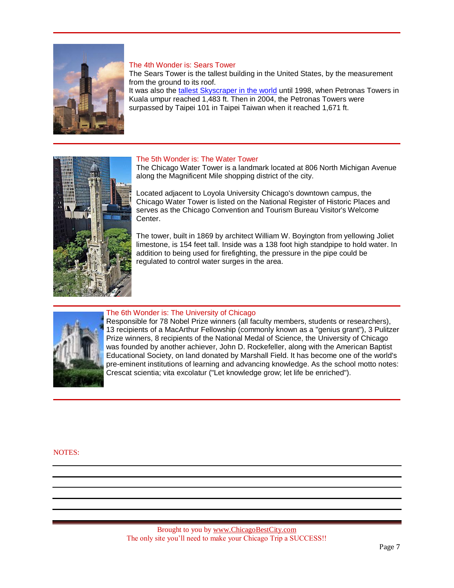

## The 4th Wonder is: Sears Tower

The Sears Tower is the tallest building in the United States, by the measurement from the ground to its roof. It was also th[e tallest Skyscraper in the world](http://en.wikipedia.org/wiki/List_of_tallest_buildings_in_the_world) until 1998, when Petronas Towers in Kuala umpur reached 1,483 ft. Then in 2004, the Petronas Towers were surpassed by Taipei 101 in Taipei Taiwan when it reached 1,671 ft.



## The 5th Wonder is: The Water Tower

The Chicago Water Tower is a landmark located at 806 North Michigan Avenue along the Magnificent Mile shopping district of the city.

Located adjacent to Loyola University Chicago's downtown campus, the Chicago Water Tower is listed on the National Register of Historic Places and serves as the Chicago Convention and Tourism Bureau Visitor's Welcome Center.

The tower, built in 1869 by architect William W. Boyington from yellowing Joliet limestone, is 154 feet tall. Inside was a 138 foot high standpipe to hold water. In addition to being used for firefighting, the pressure in the pipe could be regulated to control water surges in the area.



#### The 6th Wonder is: The University of Chicago

Responsible for 78 Nobel Prize winners (all faculty members, students or researchers), 13 recipients of a MacArthur Fellowship (commonly known as a "genius grant"), 3 Pulitzer Prize winners, 8 recipients of the National Medal of Science, the University of Chicago was founded by another achiever, John D. Rockefeller, along with the American Baptist Educational Society, on land donated by Marshall Field. It has become one of the world's pre-eminent institutions of learning and advancing knowledge. As the school motto notes: Crescat scientia; vita excolatur ("Let knowledge grow; let life be enriched").

NOTES: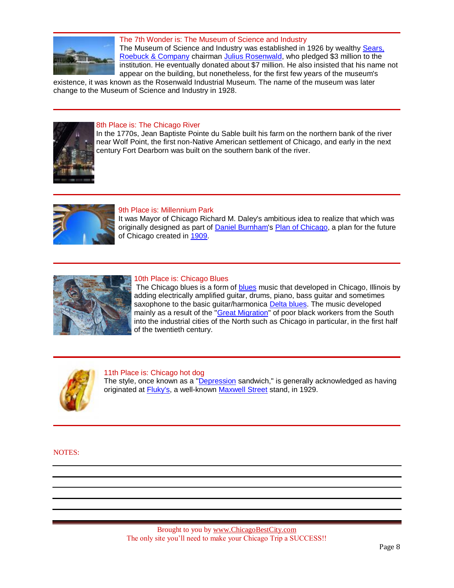

The 7th Wonder is: The Museum of Science and Industry The Museum of Science and Industry was established in 1926 by wealthy Sears, [Roebuck & Company](http://en.wikipedia.org/wiki/Sears_Holdings_Corporation) chairman [Julius Rosenwald,](http://en.wikipedia.org/wiki/Julius_Rosenwald) who pledged \$3 million to the institution. He eventually donated about \$7 million. He also insisted that his name not appear on the building, but nonetheless, for the first few years of the museum's

existence, it was known as the Rosenwald Industrial Museum. The name of the museum was later change to the Museum of Science and Industry in 1928.



## 8th Place is: The Chicago River

In the 1770s, Jean Baptiste Pointe du Sable built his farm on the northern bank of the river near Wolf Point, the first non-Native American settlement of Chicago, and early in the next century Fort Dearborn was built on the southern bank of the river.



## 9th Place is: Millennium Park

It was Mayor of Chicago Richard M. Daley's ambitious idea to realize that which was originally designed as part of [Daniel Burnham's](http://en.wikipedia.org/wiki/Daniel_Burnham) [Plan of Chicago,](http://en.wikipedia.org/wiki/Plan_of_Chicago) a plan for the future of Chicago created in [1909.](http://en.wikipedia.org/wiki/1909)



## 10th Place is: Chicago Blues

The Chicago [blues](http://en.wikipedia.org/wiki/Blues) is a form of **blues** music that developed in Chicago, Illinois by adding electrically amplified guitar, drums, piano, bass guitar and sometimes saxophone to the basic guitar/harmonica [Delta blues.](http://en.wikipedia.org/wiki/Delta_blues) The music developed mainly as a result of the ["Great Migration"](http://en.wikipedia.org/wiki/Great_Migration_(African_American)) of poor black workers from the South into the industrial cities of the North such as Chicago in particular, in the first half of the twentieth century.



#### 11th Place is: Chicago hot dog

The style, once known as a ["Depression](http://en.wikipedia.org/wiki/Great_Depression) sandwich," is generally acknowledged as having originated at [Fluky's,](http://en.wikipedia.org/wiki/Fluky) a well-known [Maxwell Street](http://en.wikipedia.org/wiki/Maxwell_Street) stand, in 1929.

NOTES: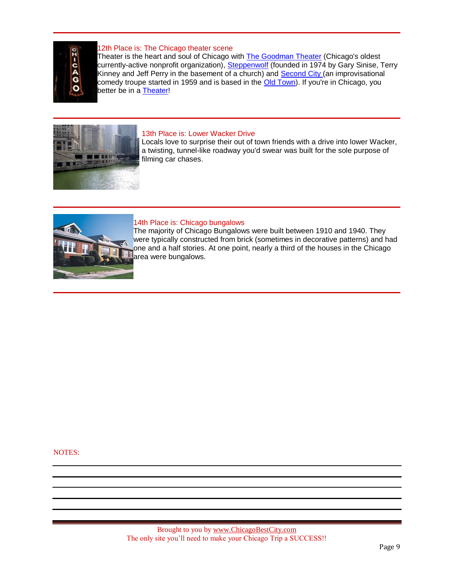

## 12th Place is: The Chicago theater scene

Theater is the heart and soul of Chicago with [The Goodman Theater](http://en.wikipedia.org/wiki/Goodman_Theater) (Chicago's oldest currently-active nonprofit organization), [Steppenwolf](http://en.wikipedia.org/wiki/Steppenwolf_Theater_Company) (founded in 1974 by Gary Sinise, Terry Kinney and Jeff Perry in the basement of a church) and **Second City** (an improvisational comedy troupe started in 1959 and is based in the [Old Town\)](http://www.chicagobestcity.com/getting-around.html). If you're in Chicago, you better be in a [Theater!](http://www.ticketsnow2.com/b.asp?id=11713&img=bantheatr.gif&p=theater_tickets.cfm)



## 13th Place is: Lower Wacker Drive

Locals love to surprise their out of town friends with a drive into lower Wacker, a twisting, tunnel-like roadway you'd swear was built for the sole purpose of filming car chases.



## 14th Place is: Chicago bungalows

The majority of Chicago Bungalows were built between 1910 and 1940. They were typically constructed from brick (sometimes in decorative patterns) and had one and a half stories. At one point, nearly a third of the houses in the Chicago area were bungalows.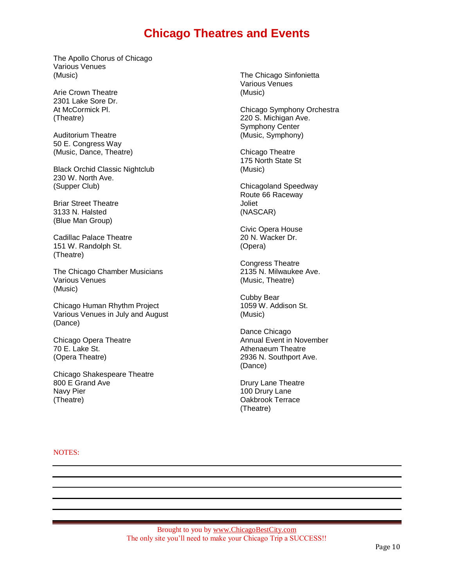## **Chicago Theatres and Events**

The Apollo Chorus of Chicago Various Venues (Music)

Arie Crown Theatre 2301 Lake Sore Dr. At McCormick Pl. (Theatre)

Auditorium Theatre 50 E. Congress Way (Music, Dance, Theatre)

Black Orchid Classic Nightclub 230 W. North Ave. (Supper Club)

Briar Street Theatre 3133 N. Halsted (Blue Man Group)

Cadillac Palace Theatre 151 W. Randolph St. (Theatre)

The Chicago Chamber Musicians Various Venues (Music)

Chicago Human Rhythm Project Various Venues in July and August (Dance)

Chicago Opera Theatre 70 E. Lake St. (Opera Theatre)

Chicago Shakespeare Theatre 800 E Grand Ave Navy Pier (Theatre)

The Chicago Sinfonietta Various Venues (Music)

Chicago Symphony Orchestra 220 S. Michigan Ave. Symphony Center (Music, Symphony)

Chicago Theatre 175 North State St (Music)

Chicagoland Speedway Route 66 Raceway Joliet (NASCAR)

Civic Opera House 20 N. Wacker Dr. (Opera)

Congress Theatre 2135 N. Milwaukee Ave. (Music, Theatre)

Cubby Bear 1059 W. Addison St. (Music)

Dance Chicago Annual Event in November Athenaeum Theatre 2936 N. Southport Ave. (Dance)

Drury Lane Theatre 100 Drury Lane Oakbrook Terrace (Theatre)

NOTES: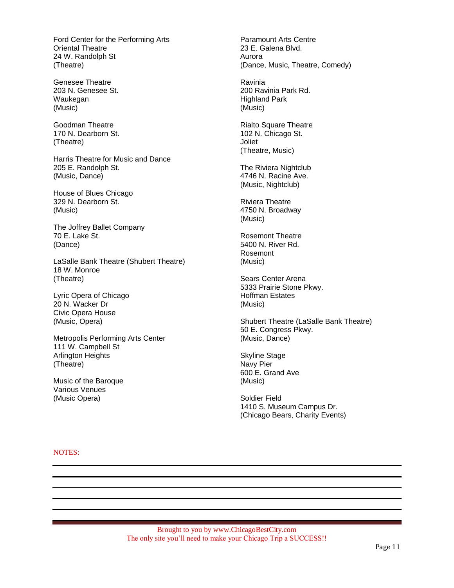Ford Center for the Performing Arts Oriental Theatre 24 W. Randolph St (Theatre)

Genesee Theatre 203 N. Genesee St. Waukegan (Music)

Goodman Theatre 170 N. Dearborn St. (Theatre)

Harris Theatre for Music and Dance 205 E. Randolph St. (Music, Dance)

House of Blues Chicago 329 N. Dearborn St. (Music)

The Joffrey Ballet Company 70 E. Lake St. (Dance)

LaSalle Bank Theatre (Shubert Theatre) 18 W. Monroe (Theatre)

Lyric Opera of Chicago 20 N. Wacker Dr Civic Opera House (Music, Opera)

Metropolis Performing Arts Center 111 W. Campbell St Arlington Heights (Theatre)

Music of the Baroque Various Venues (Music Opera)

Paramount Arts Centre 23 E. Galena Blvd. Aurora (Dance, Music, Theatre, Comedy)

Ravinia 200 Ravinia Park Rd. Highland Park (Music)

Rialto Square Theatre 102 N. Chicago St. Joliet (Theatre, Music)

The Riviera Nightclub 4746 N. Racine Ave. (Music, Nightclub)

Riviera Theatre 4750 N. Broadway (Music)

Rosemont Theatre 5400 N. River Rd. Rosemont (Music)

Sears Center Arena 5333 Prairie Stone Pkwy. Hoffman Estates (Music)

Shubert Theatre (LaSalle Bank Theatre) 50 E. Congress Pkwy. (Music, Dance)

Skyline Stage Navy Pier 600 E. Grand Ave (Music)

Soldier Field 1410 S. Museum Campus Dr. (Chicago Bears, Charity Events)

NOTES: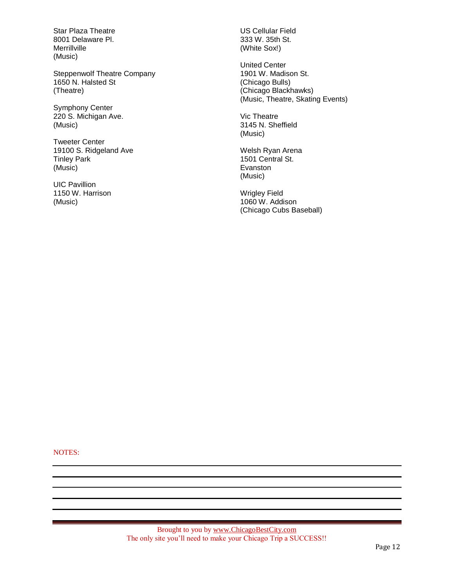Star Plaza Theatre 8001 Delaware Pl. Merrillville (Music)

Steppenwolf Theatre Company 1650 N. Halsted St (Theatre)

Symphony Center 220 S. Michigan Ave. (Music)

Tweeter Center 19100 S. Ridgeland Ave Tinley Park (Music)

UIC Pavillion 1150 W. Harrison (Music)

US Cellular Field 333 W. 35th St. (White Sox!)

United Center 1901 W. Madison St. (Chicago Bulls) (Chicago Blackhawks) (Music, Theatre, Skating Events)

Vic Theatre 3145 N. Sheffield (Music)

Welsh Ryan Arena 1501 Central St. Evanston (Music)

Wrigley Field 1060 W. Addison (Chicago Cubs Baseball)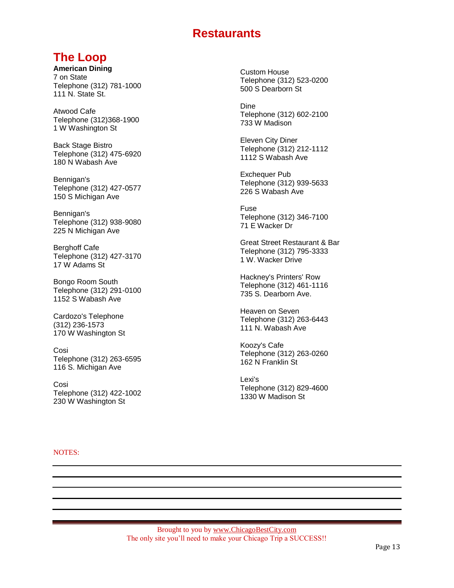## **Restaurants**

## **The Loop**

**American Dining** 7 on State Telephone (312) 781-1000 111 N. State St.

Atwood Cafe Telephone (312)368-1900 1 W Washington St

Back Stage Bistro Telephone (312) 475-6920 180 N Wabash Ave

Bennigan's Telephone (312) 427-0577 150 S Michigan Ave

Bennigan's Telephone (312) 938-9080 225 N Michigan Ave

Berghoff Cafe Telephone (312) 427-3170 17 W Adams St

Bongo Room South Telephone (312) 291-0100 1152 S Wabash Ave

Cardozo's Telephone (312) 236-1573 170 W Washington St

Cosi Telephone (312) 263-6595 116 S. Michigan Ave

Cosi Telephone (312) 422-1002 230 W Washington St

Custom House Telephone (312) 523-0200 500 S Dearborn St

Dine Telephone (312) 602-2100 733 W Madison

Eleven City Diner Telephone (312) 212-1112 1112 S Wabash Ave

Exchequer Pub Telephone (312) 939-5633 226 S Wabash Ave

Fuse Telephone (312) 346-7100 71 E Wacker Dr

Great Street Restaurant & Bar Telephone (312) 795-3333 1 W. Wacker Drive

Hackney's Printers' Row Telephone (312) 461-1116 735 S. Dearborn Ave.

Heaven on Seven Telephone (312) 263-6443 111 N. Wabash Ave

Koozy's Cafe Telephone (312) 263-0260 162 N Franklin St

Lexi's Telephone (312) 829-4600 1330 W Madison St

NOTES: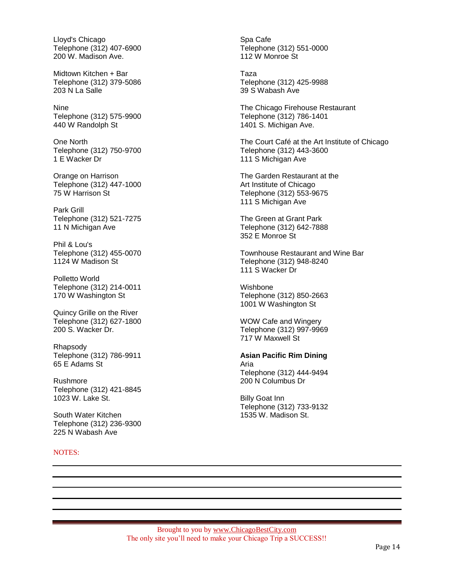Lloyd's Chicago Telephone (312) 407-6900 200 W. Madison Ave.

Midtown Kitchen + Bar Telephone (312) 379-5086 203 N La Salle

Nine Telephone (312) 575-9900 440 W Randolph St

One North Telephone (312) 750-9700 1 E Wacker Dr

Orange on Harrison Telephone (312) 447-1000 75 W Harrison St

Park Grill Telephone (312) 521-7275 11 N Michigan Ave

Phil & Lou's Telephone (312) 455-0070 1124 W Madison St

Polletto World Telephone (312) 214-0011 170 W Washington St

Quincy Grille on the River Telephone (312) 627-1800 200 S. Wacker Dr.

Rhapsody Telephone (312) 786-9911 65 E Adams St

Rushmore Telephone (312) 421-8845 1023 W. Lake St.

South Water Kitchen Telephone (312) 236-9300 225 N Wabash Ave

NOTES:

Spa Cafe Telephone (312) 551-0000 112 W Monroe St

Taza Telephone (312) 425-9988 39 S Wabash Ave

The Chicago Firehouse Restaurant Telephone (312) 786-1401 1401 S. Michigan Ave.

The Court Café at the Art Institute of Chicago Telephone (312) 443-3600 111 S Michigan Ave

The Garden Restaurant at the Art Institute of Chicago Telephone (312) 553-9675 111 S Michigan Ave

The Green at Grant Park Telephone (312) 642-7888 352 E Monroe St

Townhouse Restaurant and Wine Bar Telephone (312) 948-8240 111 S Wacker Dr

Wishbone Telephone (312) 850-2663 1001 W Washington St

WOW Cafe and Wingery Telephone (312) 997-9969 717 W Maxwell St

**Asian Pacific Rim Dining** Aria Telephone (312) 444-9494 200 N Columbus Dr

Billy Goat Inn Telephone (312) 733-9132 1535 W. Madison St.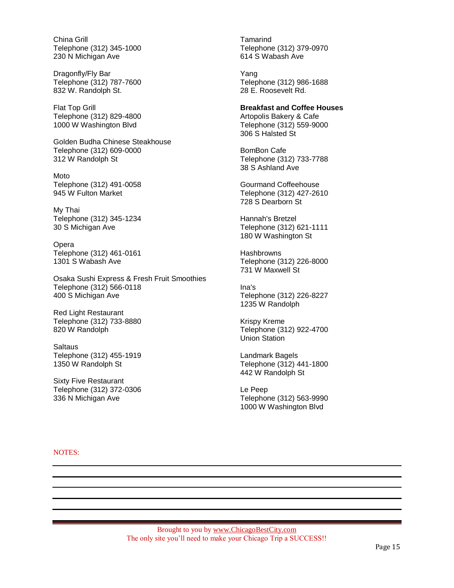China Grill Telephone (312) 345-1000 230 N Michigan Ave

Dragonfly/Fly Bar Telephone (312) 787-7600 832 W. Randolph St.

Flat Top Grill Telephone (312) 829-4800 1000 W Washington Blvd

Golden Budha Chinese Steakhouse Telephone (312) 609-0000 312 W Randolph St

Moto Telephone (312) 491-0058 945 W Fulton Market

My Thai Telephone (312) 345-1234 30 S Michigan Ave

Opera Telephone (312) 461-0161 1301 S Wabash Ave

Osaka Sushi Express & Fresh Fruit Smoothies Telephone (312) 566-0118 400 S Michigan Ave

Red Light Restaurant Telephone (312) 733-8880 820 W Randolph

**Saltaus** Telephone (312) 455-1919 1350 W Randolph St

Sixty Five Restaurant Telephone (312) 372-0306 336 N Michigan Ave

Tamarind Telephone (312) 379-0970 614 S Wabash Ave

Yang Telephone (312) 986-1688 28 E. Roosevelt Rd.

## **Breakfast and Coffee Houses**

Artopolis Bakery & Cafe Telephone (312) 559-9000 306 S Halsted St

BomBon Cafe Telephone (312) 733-7788 38 S Ashland Ave

Gourmand Coffeehouse Telephone (312) 427-2610 728 S Dearborn St

Hannah's Bretzel Telephone (312) 621-1111 180 W Washington St

**Hashbrowns** Telephone (312) 226-8000 731 W Maxwell St

Ina's Telephone (312) 226-8227 1235 W Randolph

Krispy Kreme Telephone (312) 922-4700 Union Station

Landmark Bagels Telephone (312) 441-1800 442 W Randolph St

Le Peep Telephone (312) 563-9990 1000 W Washington Blvd

#### NOTES: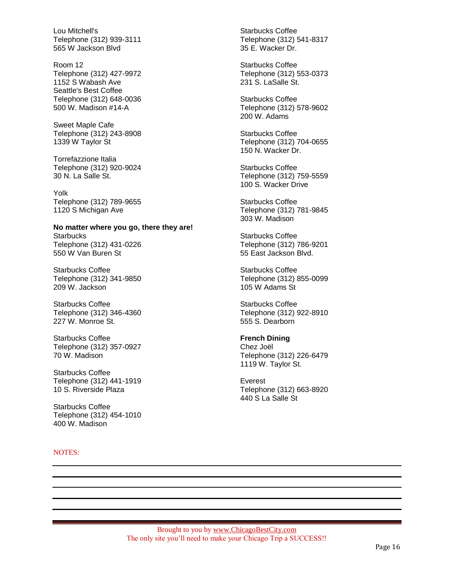Lou Mitchell's Telephone (312) 939-3111 565 W Jackson Blvd

Room 12 Telephone (312) 427-9972 1152 S Wabash Ave Seattle's Best Coffee Telephone (312) 648-0036 500 W. Madison #14-A

Sweet Maple Cafe Telephone (312) 243-8908 1339 W Taylor St

Torrefazzione Italia Telephone (312) 920-9024 30 N. La Salle St.

Yolk Telephone (312) 789-9655 1120 S Michigan Ave

**No matter where you go, there they are! Starbucks** Telephone (312) 431-0226 550 W Van Buren St

Starbucks Coffee Telephone (312) 341-9850 209 W. Jackson

Starbucks Coffee Telephone (312) 346-4360 227 W. Monroe St.

Starbucks Coffee Telephone (312) 357-0927 70 W. Madison

Starbucks Coffee Telephone (312) 441-1919 10 S. Riverside Plaza

Starbucks Coffee Telephone (312) 454-1010 400 W. Madison

NOTES:

Starbucks Coffee Telephone (312) 541-8317 35 E. Wacker Dr.

Starbucks Coffee Telephone (312) 553-0373 231 S. LaSalle St.

Starbucks Coffee Telephone (312) 578-9602 200 W. Adams

Starbucks Coffee Telephone (312) 704-0655 150 N. Wacker Dr.

Starbucks Coffee Telephone (312) 759-5559 100 S. Wacker Drive

Starbucks Coffee Telephone (312) 781-9845 303 W. Madison

Starbucks Coffee Telephone (312) 786-9201 55 East Jackson Blvd.

Starbucks Coffee Telephone (312) 855-0099 105 W Adams St

Starbucks Coffee Telephone (312) 922-8910 555 S. Dearborn

## **French Dining**

Chez Joël Telephone (312) 226-6479 1119 W. Taylor St.

Everest Telephone (312) 663-8920 440 S La Salle St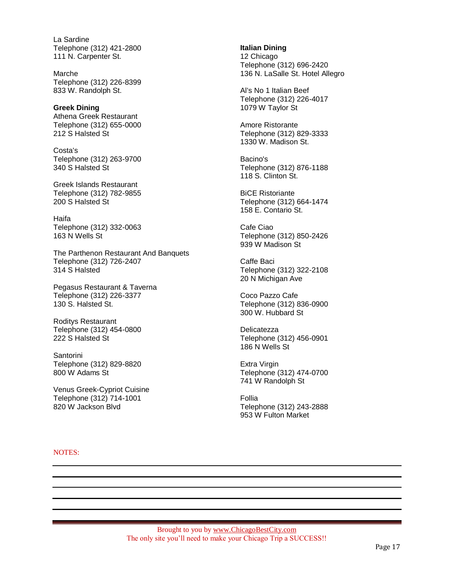La Sardine Telephone (312) 421-2800 111 N. Carpenter St.

Marche Telephone (312) 226-8399 833 W. Randolph St.

**Greek Dining** Athena Greek Restaurant Telephone (312) 655-0000 212 S Halsted St

Costa's Telephone (312) 263-9700 340 S Halsted St

Greek Islands Restaurant Telephone (312) 782-9855 200 S Halsted St

Haifa Telephone (312) 332-0063 163 N Wells St

The Parthenon Restaurant And Banquets Telephone (312) 726-2407 314 S Halsted

Pegasus Restaurant & Taverna Telephone (312) 226-3377 130 S. Halsted St.

Roditys Restaurant Telephone (312) 454-0800 222 S Halsted St

Santorini Telephone (312) 829-8820 800 W Adams St

Venus Greek-Cypriot Cuisine Telephone (312) 714-1001 820 W Jackson Blvd

**Italian Dining** 12 Chicago Telephone (312) 696-2420 136 N. LaSalle St. Hotel Allegro

Al's No 1 Italian Beef Telephone (312) 226-4017 1079 W Taylor St

Amore Ristorante Telephone (312) 829-3333 1330 W. Madison St.

Bacino's Telephone (312) 876-1188 118 S. Clinton St.

BiCE Ristoriante Telephone (312) 664-1474 158 E. Contario St.

Cafe Ciao Telephone (312) 850-2426 939 W Madison St

Caffe Baci Telephone (312) 322-2108 20 N Michigan Ave

Coco Pazzo Cafe Telephone (312) 836-0900 300 W. Hubbard St

Delicatezza Telephone (312) 456-0901 186 N Wells St

Extra Virgin Telephone (312) 474-0700 741 W Randolph St

Follia Telephone (312) 243-2888 953 W Fulton Market

#### NOTES: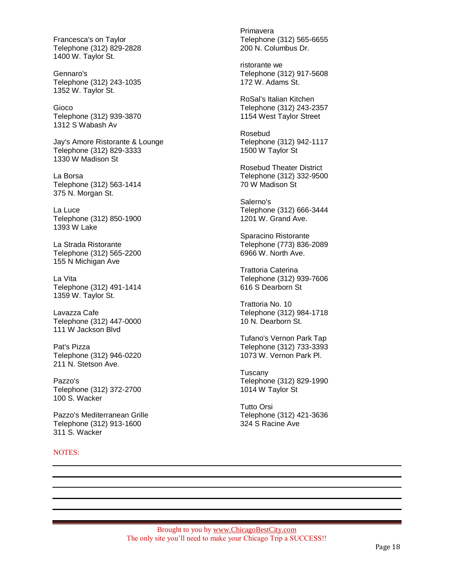Francesca's on Taylor Telephone (312) 829-2828 1400 W. Taylor St.

Gennaro's Telephone (312) 243-1035 1352 W. Taylor St.

Gioco Telephone (312) 939-3870 1312 S Wabash Av

Jay's Amore Ristorante & Lounge Telephone (312) 829-3333 1330 W Madison St

La Borsa Telephone (312) 563-1414 375 N. Morgan St.

La Luce Telephone (312) 850-1900 1393 W Lake

La Strada Ristorante Telephone (312) 565-2200 155 N Michigan Ave

La Vita Telephone (312) 491-1414 1359 W. Taylor St.

Lavazza Cafe Telephone (312) 447-0000 111 W Jackson Blvd

Pat's Pizza Telephone (312) 946-0220 211 N. Stetson Ave.

Pazzo's Telephone (312) 372-2700 100 S. Wacker

Pazzo's Mediterranean Grille Telephone (312) 913-1600 311 S. Wacker

NOTES:

Primavera Telephone (312) 565-6655 200 N. Columbus Dr.

ristorante we Telephone (312) 917-5608 172 W. Adams St.

RoSal's Italian Kitchen Telephone (312) 243-2357 1154 West Taylor Street

Rosebud Telephone (312) 942-1117 1500 W Taylor St

Rosebud Theater District Telephone (312) 332-9500 70 W Madison St

Salerno's Telephone (312) 666-3444 1201 W. Grand Ave.

Sparacino Ristorante Telephone (773) 836-2089 6966 W. North Ave.

Trattoria Caterina Telephone (312) 939-7606 616 S Dearborn St

Trattoria No. 10 Telephone (312) 984-1718 10 N. Dearborn St.

Tufano's Vernon Park Tap Telephone (312) 733-3393 1073 W. Vernon Park Pl.

**Tuscanv** Telephone (312) 829-1990 1014 W Taylor St

Tutto Orsi Telephone (312) 421-3636 324 S Racine Ave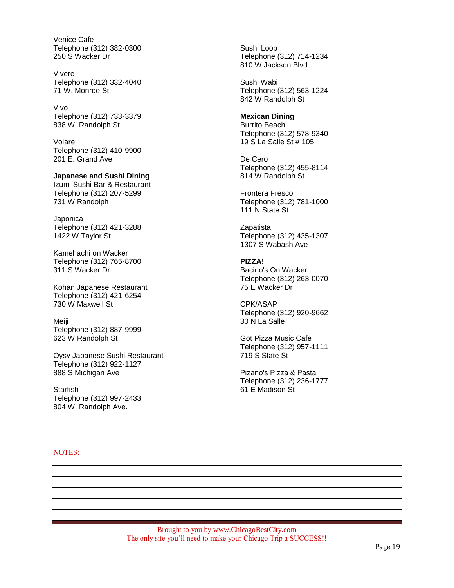Venice Cafe Telephone (312) 382-0300 250 S Wacker Dr

Vivere Telephone (312) 332-4040 71 W. Monroe St.

Vivo Telephone (312) 733-3379 838 W. Randolph St.

Volare Telephone (312) 410-9900 201 E. Grand Ave

**Japanese and Sushi Dining**  Izumi Sushi Bar & Restaurant Telephone (312) 207-5299 731 W Randolph

**Japonica** Telephone (312) 421-3288 1422 W Taylor St

Kamehachi on Wacker Telephone (312) 765-8700 311 S Wacker Dr

Kohan Japanese Restaurant Telephone (312) 421-6254 730 W Maxwell St

Meiji Telephone (312) 887-9999 623 W Randolph St

Oysy Japanese Sushi Restaurant Telephone (312) 922-1127 888 S Michigan Ave

**Starfish** Telephone (312) 997-2433 804 W. Randolph Ave.

Sushi Loop Telephone (312) 714-1234 810 W Jackson Blvd

Sushi Wabi Telephone (312) 563-1224 842 W Randolph St

**Mexican Dining**  Burrito Beach Telephone (312) 578-9340 19 S La Salle St # 105

De Cero Telephone (312) 455-8114 814 W Randolph St

Frontera Fresco Telephone (312) 781-1000 111 N State St

**Zapatista** Telephone (312) 435-1307 1307 S Wabash Ave

**PIZZA!** Bacino's On Wacker Telephone (312) 263-0070 75 E Wacker Dr

CPK/ASAP Telephone (312) 920-9662 30 N La Salle

Got Pizza Music Cafe Telephone (312) 957-1111 719 S State St

Pizano's Pizza & Pasta Telephone (312) 236-1777 61 E Madison St

NOTES: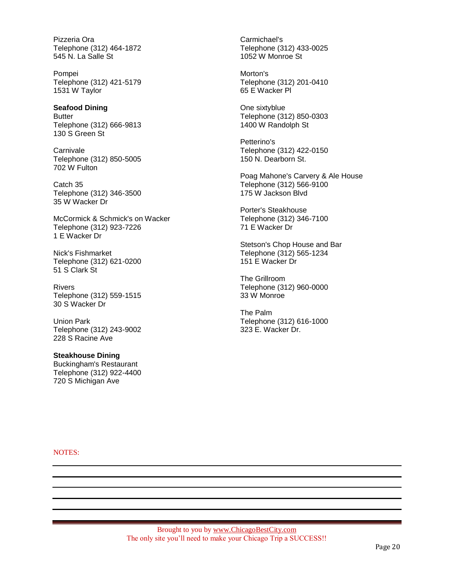Pizzeria Ora Telephone (312) 464-1872 545 N. La Salle St

Pompei Telephone (312) 421-5179 1531 W Taylor

**Seafood Dining Butter** Telephone (312) 666-9813 130 S Green St

**Carnivale** Telephone (312) 850-5005 702 W Fulton

Catch 35 Telephone (312) 346-3500 35 W Wacker Dr

McCormick & Schmick's on Wacker Telephone (312) 923-7226 1 E Wacker Dr

Nick's Fishmarket Telephone (312) 621-0200 51 S Clark St

Rivers Telephone (312) 559-1515 30 S Wacker Dr

Union Park Telephone (312) 243-9002 228 S Racine Ave

**Steakhouse Dining**  Buckingham's Restaurant Telephone (312) 922-4400 720 S Michigan Ave

Carmichael's Telephone (312) 433-0025 1052 W Monroe St

Morton's Telephone (312) 201-0410 65 E Wacker Pl

One sixtyblue Telephone (312) 850-0303 1400 W Randolph St

Petterino's Telephone (312) 422-0150 150 N. Dearborn St.

Poag Mahone's Carvery & Ale House Telephone (312) 566-9100 175 W Jackson Blvd

Porter's Steakhouse Telephone (312) 346-7100 71 E Wacker Dr

Stetson's Chop House and Bar Telephone (312) 565-1234 151 E Wacker Dr

The Grillroom Telephone (312) 960-0000 33 W Monroe

The Palm Telephone (312) 616-1000 323 E. Wacker Dr.

NOTES: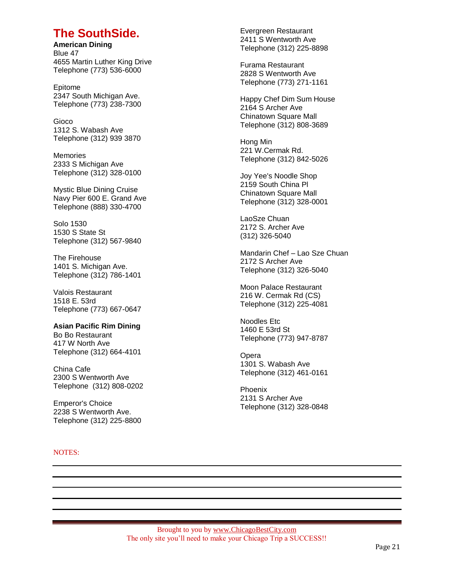## **The SouthSide.**

**American Dining** Blue 47 4655 Martin Luther King Drive Telephone (773) 536-6000

Epitome 2347 South Michigan Ave. Telephone (773) 238-7300

Gioco 1312 S. Wabash Ave Telephone (312) 939 3870

**Memories** 2333 S Michigan Ave Telephone (312) 328-0100

Mystic Blue Dining Cruise Navy Pier 600 E. Grand Ave Telephone (888) 330-4700

Solo 1530 1530 S State St Telephone (312) 567-9840

The Firehouse 1401 S. Michigan Ave. Telephone (312) 786-1401

Valois Restaurant 1518 E. 53rd Telephone (773) 667-0647

**Asian Pacific Rim Dining** Bo Bo Restaurant 417 W North Ave Telephone (312) 664-4101

China Cafe 2300 S Wentworth Ave Telephone (312) 808-0202

Emperor's Choice 2238 S Wentworth Ave. Telephone (312) 225-8800

## NOTES:

Evergreen Restaurant 2411 S Wentworth Ave Telephone (312) 225-8898

Furama Restaurant 2828 S Wentworth Ave Telephone (773) 271-1161

Happy Chef Dim Sum House 2164 S Archer Ave Chinatown Square Mall Telephone (312) 808-3689

Hong Min 221 W.Cermak Rd. Telephone (312) 842-5026

Joy Yee's Noodle Shop 2159 South China Pl Chinatown Square Mall Telephone (312) 328-0001

LaoSze Chuan 2172 S. Archer Ave (312) 326-5040

Mandarin Chef – Lao Sze Chuan 2172 S Archer Ave Telephone (312) 326-5040

Moon Palace Restaurant 216 W. Cermak Rd (CS) Telephone (312) 225-4081

Noodles Etc 1460 E 53rd St Telephone (773) 947-8787

Opera 1301 S. Wabash Ave Telephone (312) 461-0161

Phoenix 2131 S Archer Ave Telephone (312) 328-0848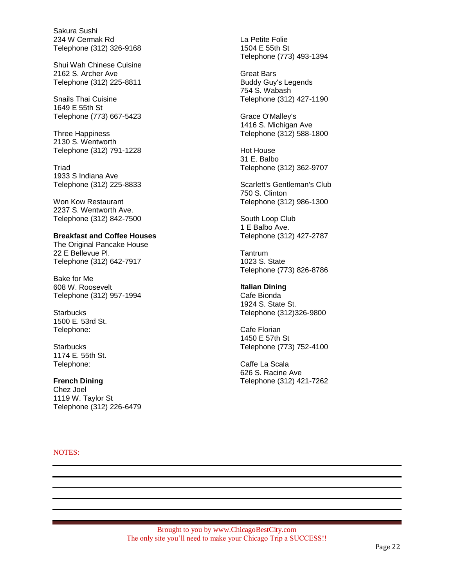Sakura Sushi 234 W Cermak Rd Telephone (312) 326-9168

Shui Wah Chinese Cuisine 2162 S. Archer Ave Telephone (312) 225-8811

Snails Thai Cuisine 1649 E 55th St Telephone (773) 667-5423

Three Happiness 2130 S. Wentworth Telephone (312) 791-1228

Triad 1933 S Indiana Ave Telephone (312) 225-8833

Won Kow Restaurant 2237 S. Wentworth Ave. Telephone (312) 842-7500

### **Breakfast and Coffee Houses**

The Original Pancake House 22 E Bellevue Pl. Telephone (312) 642-7917

Bake for Me 608 W. Roosevelt Telephone (312) 957-1994

**Starbucks** 1500 E. 53rd St. Telephone:

**Starbucks** 1174 E. 55th St. Telephone:

## **French Dining**

Chez Joel 1119 W. Taylor St Telephone (312) 226-6479

NOTES:

La Petite Folie 1504 E 55th St Telephone (773) 493-1394

Great Bars Buddy Guy's Legends 754 S. Wabash Telephone (312) 427-1190

Grace O'Malley's 1416 S. Michigan Ave Telephone (312) 588-1800

Hot House 31 E. Balbo Telephone (312) 362-9707

Scarlett's Gentleman's Club 750 S. Clinton Telephone (312) 986-1300

South Loop Club 1 E Balbo Ave. Telephone (312) 427-2787

**Tantrum** 1023 S. State Telephone (773) 826-8786

## **Italian Dining**

Cafe Bionda 1924 S. State St. Telephone (312)326-9800

Cafe Florian 1450 E 57th St Telephone (773) 752-4100

Caffe La Scala 626 S. Racine Ave Telephone (312) 421-7262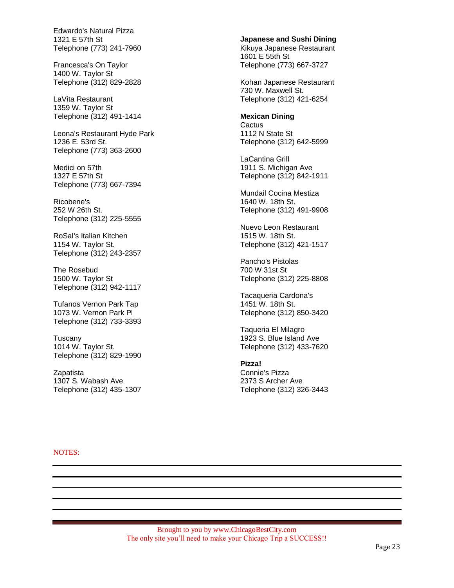Edwardo's Natural Pizza 1321 E 57th St Telephone (773) 241-7960

Francesca's On Taylor 1400 W. Taylor St Telephone (312) 829-2828

LaVita Restaurant 1359 W. Taylor St Telephone (312) 491-1414

Leona's Restaurant Hyde Park 1236 E. 53rd St. Telephone (773) 363-2600

Medici on 57th 1327 E 57th St Telephone (773) 667-7394

Ricobene's 252 W 26th St. Telephone (312) 225-5555

RoSal's Italian Kitchen 1154 W. Taylor St. Telephone (312) 243-2357

The Rosebud 1500 W. Taylor St Telephone (312) 942-1117

Tufanos Vernon Park Tap 1073 W. Vernon Park Pl Telephone (312) 733-3393

Tuscany 1014 W. Taylor St. Telephone (312) 829-1990

**Zapatista** 1307 S. Wabash Ave Telephone (312) 435-1307 **Japanese and Sushi Dining**

Kikuya Japanese Restaurant 1601 E 55th St Telephone (773) 667-3727

Kohan Japanese Restaurant 730 W. Maxwell St. Telephone (312) 421-6254

## **Mexican Dining**

**Cactus** 1112 N State St Telephone (312) 642-5999

LaCantina Grill 1911 S. Michigan Ave Telephone (312) 842-1911

Mundail Cocina Mestiza 1640 W. 18th St. Telephone (312) 491-9908

Nuevo Leon Restaurant 1515 W. 18th St. Telephone (312) 421-1517

Pancho's Pistolas 700 W 31st St Telephone (312) 225-8808

Tacaqueria Cardona's 1451 W. 18th St. Telephone (312) 850-3420

Taqueria El Milagro 1923 S. Blue Island Ave Telephone (312) 433-7620

## **Pizza!**

Connie's Pizza 2373 S Archer Ave Telephone (312) 326-3443

NOTES: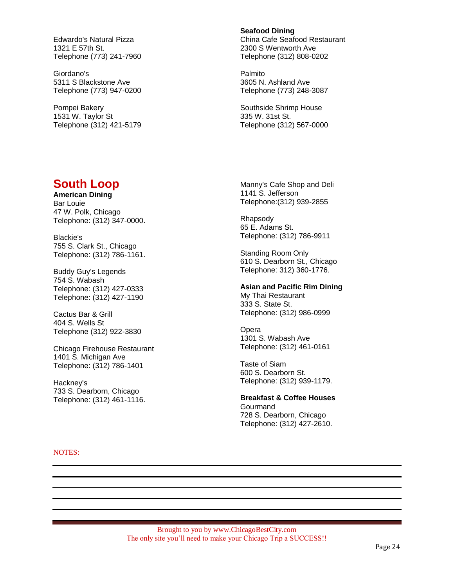Edwardo's Natural Pizza 1321 E 57th St. Telephone (773) 241-7960

Giordano's 5311 S Blackstone Ave Telephone (773) 947-0200

Pompei Bakery 1531 W. Taylor St Telephone (312) 421-5179

#### **Seafood Dining**

China Cafe Seafood Restaurant 2300 S Wentworth Ave Telephone (312) 808-0202

Palmito 3605 N. Ashland Ave Telephone (773) 248-3087

Southside Shrimp House 335 W. 31st St. Telephone (312) 567-0000

## **South Loop**

**American Dining** Bar Louie 47 W. Polk, Chicago Telephone: (312) 347-0000.

Blackie's 755 S. Clark St., Chicago Telephone: (312) 786-1161.

Buddy Guy's Legends 754 S. Wabash Telephone: (312) 427-0333 Telephone: (312) 427-1190

Cactus Bar & Grill 404 S. Wells St Telephone (312) 922-3830

Chicago Firehouse Restaurant 1401 S. Michigan Ave Telephone: (312) 786-1401

Hackney's 733 S. Dearborn, Chicago Telephone: (312) 461-1116. Manny's Cafe Shop and Deli 1141 S. Jefferson Telephone:(312) 939-2855

Rhapsody 65 E. Adams St. Telephone: (312) 786-9911

Standing Room Only 610 S. Dearborn St., Chicago Telephone: 312) 360-1776.

## **Asian and Pacific Rim Dining**

My Thai Restaurant 333 S. State St. Telephone: (312) 986-0999

**Opera** 1301 S. Wabash Ave Telephone: (312) 461-0161

Taste of Siam 600 S. Dearborn St. Telephone: (312) 939-1179.

**Breakfast & Coffee Houses Gourmand** 728 S. Dearborn, Chicago Telephone: (312) 427-2610.

NOTES: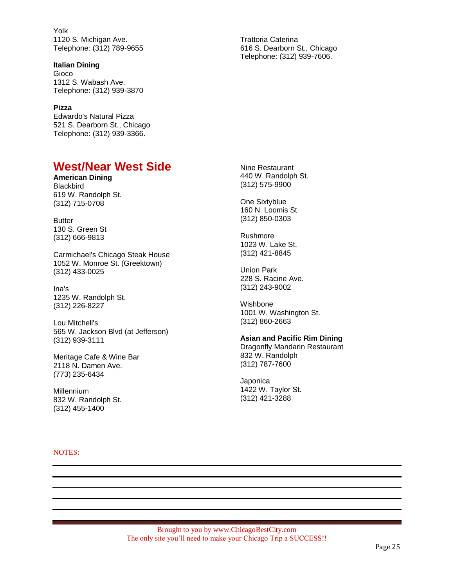Yolk 1120 S. Michigan Ave. Telephone: (312) 789-9655

### **Italian Dining**

Gioco 1312 S. Wabash Ave. Telephone: (312) 939-3870

## **Pizza**

Edwardo's Natural Pizza 521 S. Dearborn St., Chicago Telephone: (312) 939-3366.

## **West/Near West Side**

**American Dining Blackbird** 619 W. Randolph St. (312) 715-0708

Butter 130 S. Green St (312) 666-9813

Carmichael's Chicago Steak House 1052 W. Monroe St. (Greektown) (312) 433-0025

Ina's 1235 W. Randolph St. (312) 226-8227

Lou Mitchell's 565 W. Jackson Blvd (at Jefferson) (312) 939-3111

Meritage Cafe & Wine Bar 2118 N. Damen Ave. (773) 235-6434

Millennium 832 W. Randolph St. (312) 455-1400

NOTES:

Trattoria Caterina 616 S. Dearborn St., Chicago Telephone: (312) 939-7606.

Nine Restaurant 440 W. Randolph St. (312) 575-9900

One Sixtyblue 160 N. Loomis St (312) 850-0303

Rushmore 1023 W. Lake St. (312) 421-8845

Union Park 228 S. Racine Ave. (312) 243-9002

Wishbone 1001 W. Washington St. (312) 860-2663

#### **Asian and Pacific Rim Dining**

Dragonfly Mandarin Restaurant 832 W. Randolph (312) 787-7600

Japonica 1422 W. Taylor St. (312) 421-3288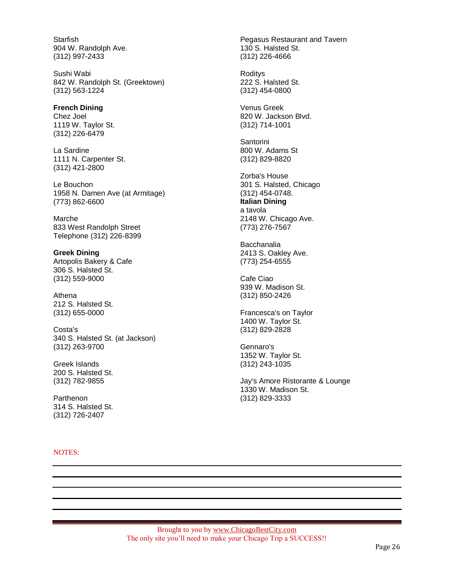**Starfish** 904 W. Randolph Ave. (312) 997-2433

Sushi Wabi 842 W. Randolph St. (Greektown) (312) 563-1224

### **French Dining** Chez Joel 1119 W. Taylor St.

(312) 226-6479

La Sardine 1111 N. Carpenter St. (312) 421-2800

Le Bouchon 1958 N. Damen Ave (at Armitage) (773) 862-6600

Marche 833 West Randolph Street Telephone (312) 226-8399

**Greek Dining** Artopolis Bakery & Cafe 306 S. Halsted St. (312) 559-9000

Athena 212 S. Halsted St. (312) 655-0000

Costa's 340 S. Halsted St. (at Jackson) (312) 263-9700

Greek Islands 200 S. Halsted St. (312) 782-9855

**Parthenon** 314 S. Halsted St. (312) 726-2407

## NOTES:

Pegasus Restaurant and Tavern 130 S. Halsted St. (312) 226-4666

Roditys 222 S. Halsted St. (312) 454-0800

Venus Greek 820 W. Jackson Blvd. (312) 714-1001

**Santorini** 800 W. Adams St (312) 829-8820

Zorba's House 301 S. Halsted, Chicago (312) 454-0748. **Italian Dining** a tavola 2148 W. Chicago Ave. (773) 276-7567

Bacchanalia 2413 S. Oakley Ave. (773) 254-6555

Cafe Ciao 939 W. Madison St. (312) 850-2426

Francesca's on Taylor 1400 W. Taylor St. (312) 829-2828

Gennaro's 1352 W. Taylor St. (312) 243-1035

Jay's Amore Ristorante & Lounge 1330 W. Madison St. (312) 829-3333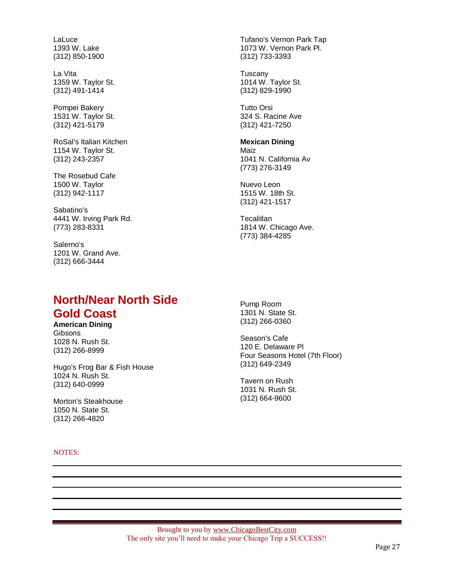LaLuce 1393 W. Lake (312) 850-1900

La Vita 1359 W. Taylor St. (312) 491-1414

Pompei Bakery 1531 W. Taylor St. (312) 421-5179

RoSal's Italian Kitchen 1154 W. Taylor St. (312) 243-2357

The Rosebud Cafe 1500 W. Taylor (312) 942-1117

Sabatino's 4441 W. Irving Park Rd. (773) 283-8331

Salerno's 1201 W. Grand Ave. (312) 666-3444

## **North/Near North Side Gold Coast**

**American Dining Gibsons** 1028 N. Rush St. (312) 266-8999

Hugo's Frog Bar & Fish House 1024 N. Rush St. (312) 640-0999

Morton's Steakhouse 1050 N. State St. (312) 266-4820

NOTES:

Tufano's Vernon Park Tap 1073 W. Vernon Park Pl. (312) 733-3393

Tuscany 1014 W. Taylor St. (312) 829-1990

Tutto Orsi 324 S. Racine Ave (312) 421-7250

#### **Mexican Dining**

Maiz 1041 N. California Av (773) 276-3149

Nuevo Leon 1515 W. 18th St. (312) 421-1517

**Tecalitlan** 1814 W. Chicago Ave. (773) 384-4285

Pump Room 1301 N. State St. (312) 266-0360

Season's Cafe 120 E. Delaware Pl Four Seasons Hotel (7th Floor) (312) 649-2349

Tavern on Rush 1031 N. Rush St. (312) 664-9600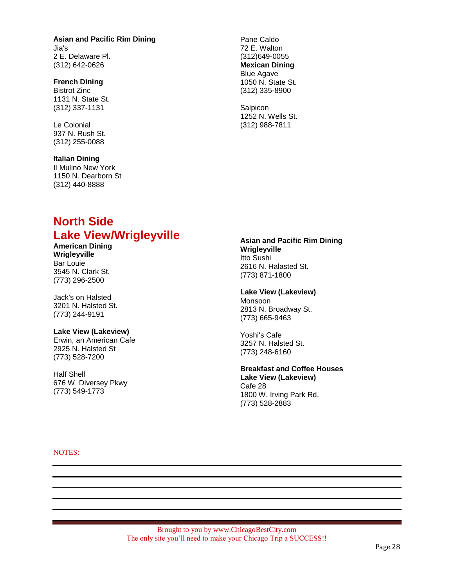## **Asian and Pacific Rim Dining** Jia's 2 E. Delaware Pl. (312) 642-0626

### **French Dining**

Bistrot Zinc 1131 N. State St. (312) 337-1131

Le Colonial 937 N. Rush St. (312) 255-0088

## **Italian Dining**

Il Mulino New York 1150 N. Dearborn St (312) 440-8888

### Pane Caldo 72 E. Walton (312)649-0055 **Mexican Dining** Blue Agave 1050 N. State St. (312) 335-8900

**Salpicon** 1252 N. Wells St. (312) 988-7811

## **North Side Lake View/Wrigleyville**

**American Dining Wrigleyville** Bar Louie 3545 N. Clark St. (773) 296-2500

Jack's on Halsted 3201 N. Halsted St. (773) 244-9191

## **Lake View (Lakeview)**

Erwin, an American Cafe 2925 N. Halsted St (773) 528-7200

Half Shell 676 W. Diversey Pkwy (773) 549-1773

### **Asian and Pacific Rim Dining Wrigleyville** Itto Sushi

2616 N. Halasted St. (773) 871-1800

### **Lake View (Lakeview)**

Monsoon 2813 N. Broadway St. (773) 665-9463

Yoshi's Cafe 3257 N. Halsted St. (773) 248-6160

## **Breakfast and Coffee Houses**

**Lake View (Lakeview)** Cafe 28 1800 W. Irving Park Rd. (773) 528-2883

NOTES: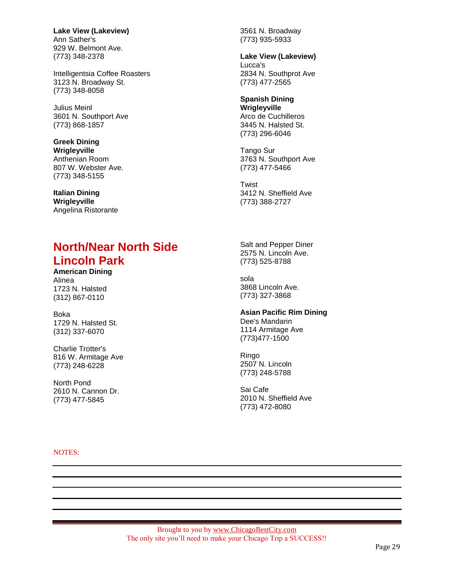**Lake View (Lakeview)** Ann Sather's 929 W. Belmont Ave. (773) 348-2378

Intelligentsia Coffee Roasters 3123 N. Broadway St. (773) 348-8058

Julius Meinl 3601 N. Southport Ave (773) 868-1857

**Greek Dining Wrigleyville** Anthenian Room 807 W. Webster Ave. (773) 348-5155

**Italian Dining Wrigleyville** Angelina Ristorante

# **North/Near North Side Lincoln Park**

**American Dining** Alinea 1723 N. Halsted (312) 867-0110

Boka 1729 N. Halsted St. (312) 337-6070

Charlie Trotter's 816 W. Armitage Ave (773) 248-6228

North Pond 2610 N. Cannon Dr. (773) 477-5845

3561 N. Broadway (773) 935-5933

**Lake View (Lakeview)** Lucca's 2834 N. Southprot Ave (773) 477-2565

## **Spanish Dining**

**Wrigleyville** Arco de Cuchilleros 3445 N. Halsted St. (773) 296-6046

Tango Sur 3763 N. Southport Ave (773) 477-5466

**Twist** 3412 N. Sheffield Ave (773) 388-2727

Salt and Pepper Diner 2575 N. Lincoln Ave. (773) 525-8788

sola 3868 Lincoln Ave. (773) 327-3868

## **Asian Pacific Rim Dining**

Dee's Mandarin 1114 Armitage Ave (773)477-1500

Ringo 2507 N. Lincoln (773) 248-5788

Sai Cafe 2010 N. Sheffield Ave (773) 472-8080

NOTES: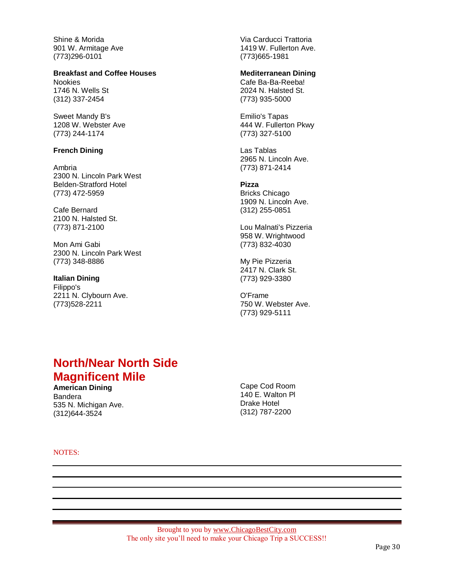Shine & Morida 901 W. Armitage Ave (773)296-0101

## **Breakfast and Coffee Houses**

Nookies 1746 N. Wells St (312) 337-2454

Sweet Mandy B's 1208 W. Webster Ave (773) 244-1174

## **French Dining**

Ambria 2300 N. Lincoln Park West Belden-Stratford Hotel (773) 472-5959

Cafe Bernard 2100 N. Halsted St. (773) 871-2100

Mon Ami Gabi 2300 N. Lincoln Park West (773) 348-8886

**Italian Dining** Filippo's 2211 N. Clybourn Ave. (773)528-2211

Via Carducci Trattoria 1419 W. Fullerton Ave. (773)665-1981

## **Mediterranean Dining**

Cafe Ba-Ba-Reeba! 2024 N. Halsted St. (773) 935-5000

Emilio's Tapas 444 W. Fullerton Pkwy (773) 327-5100

Las Tablas 2965 N. Lincoln Ave. (773) 871-2414

### **Pizza**

Bricks Chicago 1909 N. Lincoln Ave. (312) 255-0851

Lou Malnati's Pizzeria 958 W. Wrightwood (773) 832-4030

My Pie Pizzeria 2417 N. Clark St. (773) 929-3380

O'Frame 750 W. Webster Ave. (773) 929-5111

## **North/Near North Side Magnificent Mile**

**American Dining** Bandera 535 N. Michigan Ave. (312)644-3524

Cape Cod Room 140 E. Walton Pl Drake Hotel (312) 787-2200

NOTES: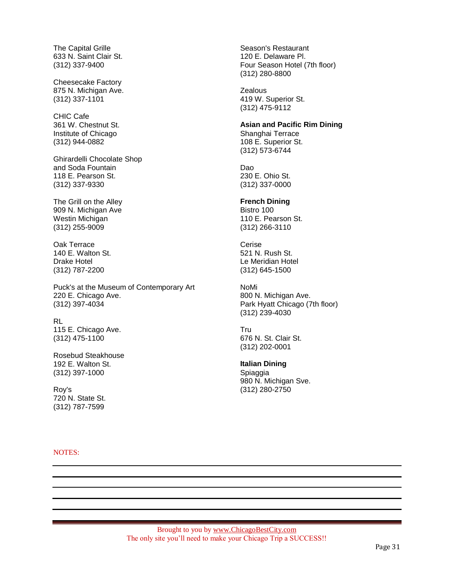The Capital Grille 633 N. Saint Clair St. (312) 337-9400

Cheesecake Factory 875 N. Michigan Ave. (312) 337-1101

CHIC Cafe 361 W. Chestnut St. Institute of Chicago (312) 944-0882

Ghirardelli Chocolate Shop and Soda Fountain 118 E. Pearson St. (312) 337-9330

The Grill on the Alley 909 N. Michigan Ave Westin Michigan (312) 255-9009

Oak Terrace 140 E. Walton St. Drake Hotel (312) 787-2200

Puck's at the Museum of Contemporary Art 220 E. Chicago Ave. (312) 397-4034

RL 115 E. Chicago Ave. (312) 475-1100

Rosebud Steakhouse 192 E. Walton St. (312) 397-1000

Roy's 720 N. State St. (312) 787-7599

NOTES:

Season's Restaurant 120 E. Delaware Pl. Four Season Hotel (7th floor) (312) 280-8800

**Zealous** 419 W. Superior St. (312) 475-9112

## **Asian and Pacific Rim Dining**

Shanghai Terrace 108 E. Superior St. (312) 573-6744

Dao 230 E. Ohio St. (312) 337-0000

## **French Dining**

Bistro 100 110 E. Pearson St. (312) 266-3110

Cerise 521 N. Rush St. Le Meridian Hotel (312) 645-1500

NoMi 800 N. Michigan Ave. Park Hyatt Chicago (7th floor) (312) 239-4030

Tru 676 N. St. Clair St. (312) 202-0001

#### **Italian Dining** Spiaggia 980 N. Michigan Sve. (312) 280-2750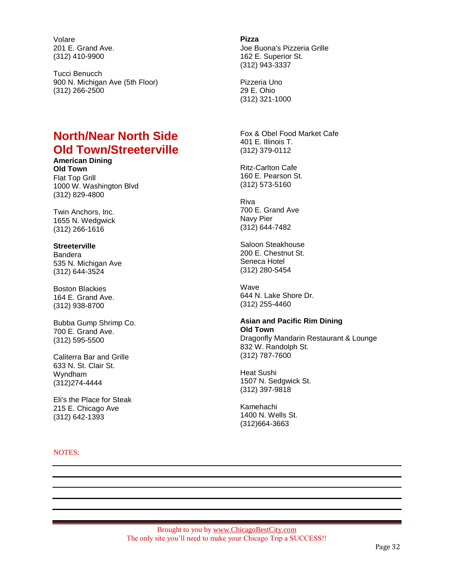Volare 201 E. Grand Ave. (312) 410-9900

Tucci Benucch 900 N. Michigan Ave (5th Floor) (312) 266-2500

# **North/Near North Side Old Town/Streeterville**

**American Dining Old Town** Flat Top Grill 1000 W. Washington Blvd (312) 829-4800

Twin Anchors, Inc. 1655 N. Wedgwick (312) 266-1616

## **Streeterville**

Bandera 535 N. Michigan Ave (312) 644-3524

Boston Blackies 164 E. Grand Ave. (312) 938-8700

Bubba Gump Shrimp Co. 700 E. Grand Ave. (312) 595-5500

Caliterra Bar and Grille 633 N. St. Clair St. Wyndham (312)274-4444

Eli's the Place for Steak 215 E. Chicago Ave (312) 642-1393

NOTES:

**Pizza** Joe Buona's Pizzeria Grille 162 E. Superior St. (312) 943-3337

Pizzeria Uno 29 E. Ohio (312) 321-1000

Fox & Obel Food Market Cafe 401 E. Illinois T. (312) 379-0112

Ritz-Carlton Cafe 160 E. Pearson St. (312) 573-5160

Riva 700 E. Grand Ave Navy Pier (312) 644-7482

Saloon Steakhouse 200 E. Chestnut St. Seneca Hotel (312) 280-5454

**Wave** 644 N. Lake Shore Dr. (312) 255-4460

## **Asian and Pacific Rim Dining Old Town**

Dragonfly Mandarin Restaurant & Lounge 832 W. Randolph St. (312) 787-7600

Heat Sushi 1507 N. Sedgwick St. (312) 397-9818

Kamehachi 1400 N. Wells St. (312)664-3663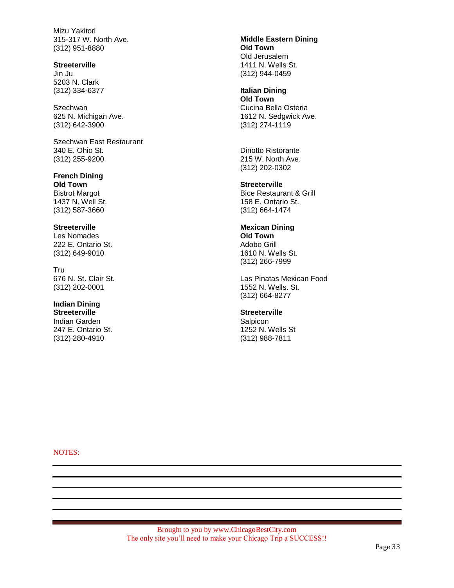Mizu Yakitori 315-317 W. North Ave. (312) 951-8880

#### **Streeterville**

Jin Ju 5203 N. Clark (312) 334-6377

**Szechwan** 625 N. Michigan Ave. (312) 642-3900

Szechwan East Restaurant 340 E. Ohio St. (312) 255-9200

**French Dining Old Town** Bistrot Margot 1437 N. Well St. (312) 587-3660

## **Streeterville**

Les Nomades 222 E. Ontario St. (312) 649-9010

Tru 676 N. St. Clair St. (312) 202-0001

## **Indian Dining**

**Streeterville** Indian Garden 247 E. Ontario St. (312) 280-4910

**Middle Eastern Dining Old Town** Old Jerusalem 1411 N. Wells St. (312) 944-0459

**Italian Dining Old Town** Cucina Bella Osteria 1612 N. Sedgwick Ave. (312) 274-1119

Dinotto Ristorante 215 W. North Ave. (312) 202-0302

**Streeterville** Bice Restaurant & Grill 158 E. Ontario St.

## **Mexican Dining Old Town** Adobo Grill

(312) 664-1474

1610 N. Wells St. (312) 266-7999

Las Pinatas Mexican Food 1552 N. Wells. St. (312) 664-8277

## **Streeterville**

**Salpicon** 1252 N. Wells St (312) 988-7811

NOTES: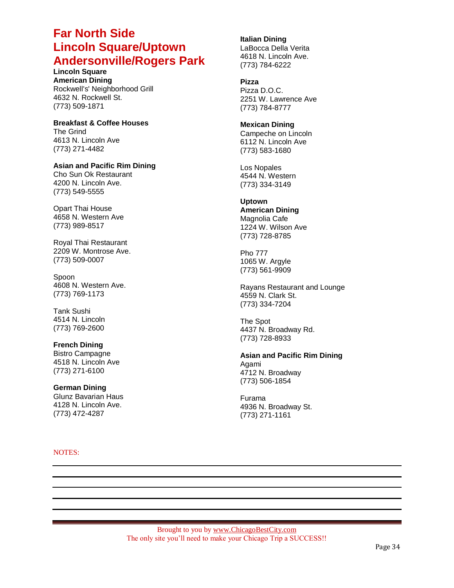## **Far North Side Lincoln Square/Uptown Andersonville/Rogers Park**

**Lincoln Square American Dining** Rockwell's' Neighborhood Grill 4632 N. Rockwell St. (773) 509-1871

**Breakfast & Coffee Houses** The Grind 4613 N. Lincoln Ave (773) 271-4482

## **Asian and Pacific Rim Dining**

Cho Sun Ok Restaurant 4200 N. Lincoln Ave. (773) 549-5555

Opart Thai House 4658 N. Western Ave (773) 989-8517

Royal Thai Restaurant 2209 W. Montrose Ave. (773) 509-0007

Spoon 4608 N. Western Ave. (773) 769-1173

Tank Sushi 4514 N. Lincoln (773) 769-2600

### **French Dining** Bistro Campagne 4518 N. Lincoln Ave (773) 271-6100

**German Dining** Glunz Bavarian Haus 4128 N. Lincoln Ave. (773) 472-4287

#### NOTES:

## **Italian Dining**

LaBocca Della Verita 4618 N. Lincoln Ave. (773) 784-6222

### **Pizza**

Pizza D.O.C. 2251 W. Lawrence Ave (773) 784-8777

## **Mexican Dining**

Campeche on Lincoln 6112 N. Lincoln Ave (773) 583-1680

Los Nopales 4544 N. Western (773) 334-3149

### **Uptown**

**American Dining** Magnolia Cafe 1224 W. Wilson Ave (773) 728-8785

Pho 777 1065 W. Argyle (773) 561-9909

Rayans Restaurant and Lounge 4559 N. Clark St. (773) 334-7204

The Spot 4437 N. Broadway Rd. (773) 728-8933

**Asian and Pacific Rim Dining** Agami 4712 N. Broadway (773) 506-1854

Furama 4936 N. Broadway St. (773) 271-1161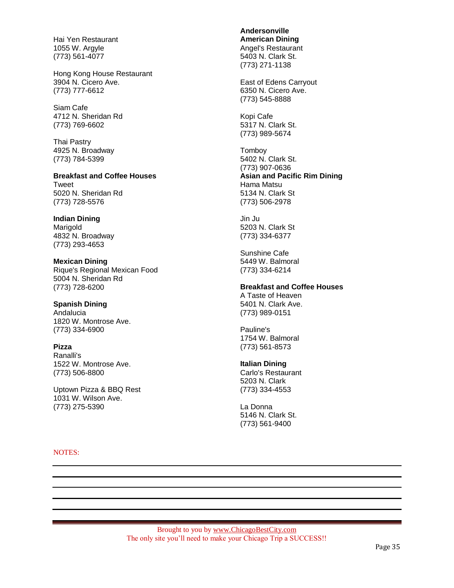Hai Yen Restaurant 1055 W. Argyle (773) 561-4077

Hong Kong House Restaurant 3904 N. Cicero Ave. (773) 777-6612

Siam Cafe 4712 N. Sheridan Rd (773) 769-6602

Thai Pastry 4925 N. Broadway (773) 784-5399

**Breakfast and Coffee Houses** Tweet 5020 N. Sheridan Rd (773) 728-5576

**Indian Dining** Marigold 4832 N. Broadway (773) 293-4653

**Mexican Dining** Rique's Regional Mexican Food 5004 N. Sheridan Rd (773) 728-6200

**Spanish Dining** Andalucia 1820 W. Montrose Ave. (773) 334-6900

**Pizza** Ranalli's 1522 W. Montrose Ave. (773) 506-8800

Uptown Pizza & BBQ Rest 1031 W. Wilson Ave. (773) 275-5390

**Andersonville American Dining** Angel's Restaurant 5403 N. Clark St. (773) 271-1138

East of Edens Carryout 6350 N. Cicero Ave. (773) 545-8888

Kopi Cafe 5317 N. Clark St. (773) 989-5674

Tomboy 5402 N. Clark St. (773) 907-0636 **Asian and Pacific Rim Dining** Hama Matsu 5134 N. Clark St (773) 506-2978

Jin Ju 5203 N. Clark St (773) 334-6377

Sunshine Cafe 5449 W. Balmoral (773) 334-6214

## **Breakfast and Coffee Houses**

A Taste of Heaven 5401 N. Clark Ave. (773) 989-0151

Pauline's 1754 W. Balmoral (773) 561-8573

### **Italian Dining**

Carlo's Restaurant 5203 N. Clark (773) 334-4553

La Donna 5146 N. Clark St. (773) 561-9400

#### NOTES: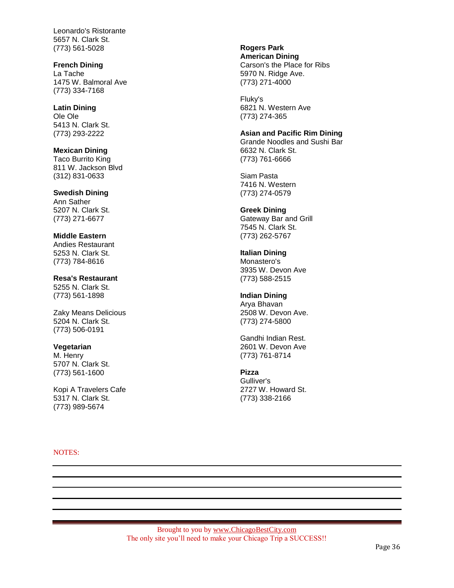Leonardo's Ristorante 5657 N. Clark St. (773) 561-5028

## **French Dining**

La Tache 1475 W. Balmoral Ave (773) 334-7168

**Latin Dining** Ole Ole 5413 N. Clark St. (773) 293-2222

**Mexican Dining** Taco Burrito King 811 W. Jackson Blvd (312) 831-0633

**Swedish Dining** Ann Sather 5207 N. Clark St. (773) 271-6677

**Middle Eastern** Andies Restaurant 5253 N. Clark St. (773) 784-8616

**Resa's Restaurant** 5255 N. Clark St. (773) 561-1898

Zaky Means Delicious 5204 N. Clark St. (773) 506-0191

### **Vegetarian**

M. Henry 5707 N. Clark St. (773) 561-1600

Kopi A Travelers Cafe 5317 N. Clark St. (773) 989-5674

#### NOTES:

**Rogers Park American Dining**

Carson's the Place for Ribs 5970 N. Ridge Ave. (773) 271-4000

Fluky's 6821 N. Western Ave (773) 274-365

### **Asian and Pacific Rim Dining**

Grande Noodles and Sushi Bar 6632 N. Clark St. (773) 761-6666

Siam Pasta 7416 N. Western (773) 274-0579

## **Greek Dining**

Gateway Bar and Grill 7545 N. Clark St. (773) 262-5767

**Italian Dining**

Monastero's 3935 W. Devon Ave (773) 588-2515

## **Indian Dining**

Arya Bhavan 2508 W. Devon Ave. (773) 274-5800

Gandhi Indian Rest. 2601 W. Devon Ave (773) 761-8714

## **Pizza**

Gulliver's 2727 W. Howard St. (773) 338-2166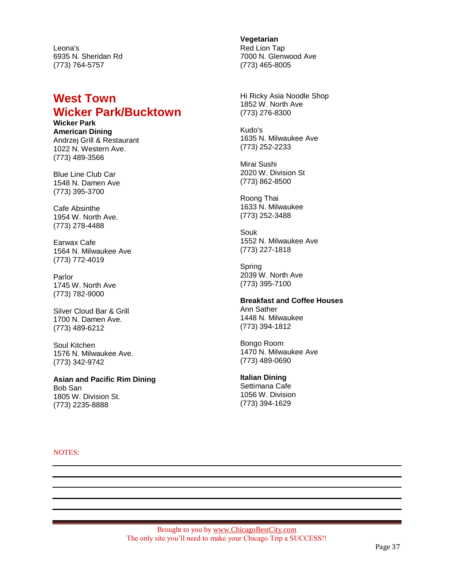Leona's 6935 N. Sheridan Rd (773) 764-5757

## **West Town Wicker Park/Bucktown**

**Wicker Park American Dining** Andrzej Grill & Restaurant 1022 N. Western Ave. (773) 489-3566

Blue Line Club Car 1548 N. Damen Ave (773) 395-3700

Cafe Absinthe 1954 W. North Ave. (773) 278-4488

Earwax Cafe 1564 N. Milwaukee Ave (773) 772-4019

Parlor 1745 W. North Ave (773) 782-9000

Silver Cloud Bar & Grill 1700 N. Damen Ave. (773) 489-6212

Soul Kitchen 1576 N. Milwaukee Ave. (773) 342-9742

**Asian and Pacific Rim Dining** Bob San 1805 W. Division St. (773) 2235-8888

**Vegetarian** Red Lion Tap 7000 N. Glenwood Ave (773) 465-8005

Hi Ricky Asia Noodle Shop 1852 W. North Ave (773) 276-8300

Kudo's 1635 N. Milwaukee Ave (773) 252-2233

Mirai Sushi 2020 W. Division St (773) 862-8500

Roong Thai 1633 N. Milwaukee (773) 252-3488

Souk 1552 N. Milwaukee Ave (773) 227-1818

Spring 2039 W. North Ave (773) 395-7100

#### **Breakfast and Coffee Houses** Ann Sather

1448 N. Milwaukee (773) 394-1812

Bongo Room 1470 N. Milwaukee Ave (773) 489-0690

**Italian Dining**

Settimana Cafe 1056 W. Division (773) 394-1629

NOTES: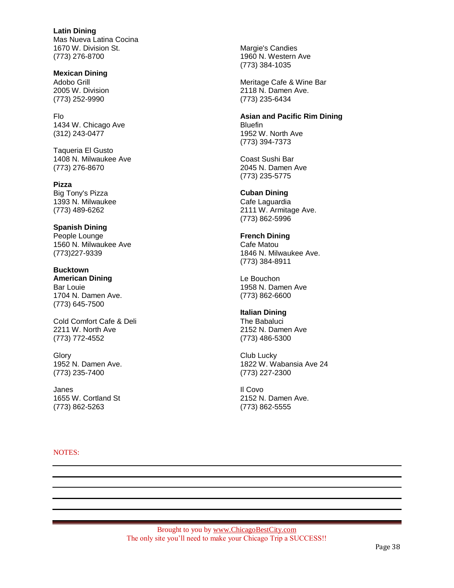**Latin Dining** Mas Nueva Latina Cocina 1670 W. Division St. (773) 276-8700

**Mexican Dining** Adobo Grill 2005 W. Division (773) 252-9990

Flo 1434 W. Chicago Ave (312) 243-0477

Taqueria El Gusto 1408 N. Milwaukee Ave (773) 276-8670

**Pizza** Big Tony's Pizza 1393 N. Milwaukee (773) 489-6262

**Spanish Dining** People Lounge 1560 N. Milwaukee Ave (773)227-9339

**Bucktown American Dining** Bar Louie 1704 N. Damen Ave. (773) 645-7500

Cold Comfort Cafe & Deli 2211 W. North Ave (773) 772-4552

**Glory** 1952 N. Damen Ave. (773) 235-7400

Janes 1655 W. Cortland St (773) 862-5263

NOTES:

Margie's Candies 1960 N. Western Ave (773) 384-1035

Meritage Cafe & Wine Bar 2118 N. Damen Ave. (773) 235-6434

**Asian and Pacific Rim Dining** Bluefin 1952 W. North Ave (773) 394-7373

Coast Sushi Bar 2045 N. Damen Ave (773) 235-5775

**Cuban Dining**

Cafe Laguardia 2111 W. Armitage Ave. (773) 862-5996

## **French Dining**

Cafe Matou 1846 N. Milwaukee Ave. (773) 384-8911

Le Bouchon 1958 N. Damen Ave (773) 862-6600

## **Italian Dining**

The Babaluci 2152 N. Damen Ave (773) 486-5300

Club Lucky 1822 W. Wabansia Ave 24 (773) 227-2300

Il Covo 2152 N. Damen Ave. (773) 862-5555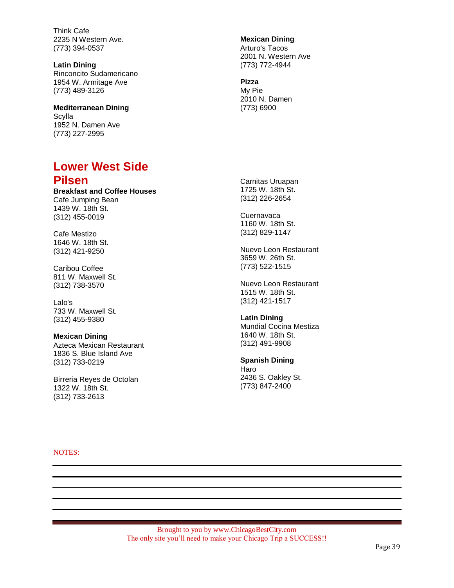Think Cafe 2235 N Western Ave. (773) 394-0537

**Latin Dining** Rinconcito Sudamericano 1954 W. Armitage Ave (773) 489-3126

**Mediterranean Dining Scylla** 1952 N. Damen Ave (773) 227-2995

## **Lower West Side Pilsen**

**Breakfast and Coffee Houses** Cafe Jumping Bean 1439 W. 18th St. (312) 455-0019

Cafe Mestizo 1646 W. 18th St. (312) 421-9250

Caribou Coffee 811 W. Maxwell St. (312) 738-3570

Lalo's 733 W. Maxwell St. (312) 455-9380

#### **Mexican Dining**

Azteca Mexican Restaurant 1836 S. Blue Island Ave (312) 733-0219

Birreria Reyes de Octolan 1322 W. 18th St. (312) 733-2613

**Mexican Dining**

Arturo's Tacos 2001 N. Western Ave (773) 772-4944

#### **Pizza**

My Pie 2010 N. Damen (773) 6900

Carnitas Uruapan 1725 W. 18th St. (312) 226-2654

**Cuernavaca** 1160 W. 18th St. (312) 829-1147

Nuevo Leon Restaurant 3659 W. 26th St. (773) 522-1515

Nuevo Leon Restaurant 1515 W. 18th St. (312) 421-1517

**Latin Dining** Mundial Cocina Mestiza 1640 W. 18th St. (312) 491-9908

**Spanish Dining**

Haro 2436 S. Oakley St. (773) 847-2400

NOTES: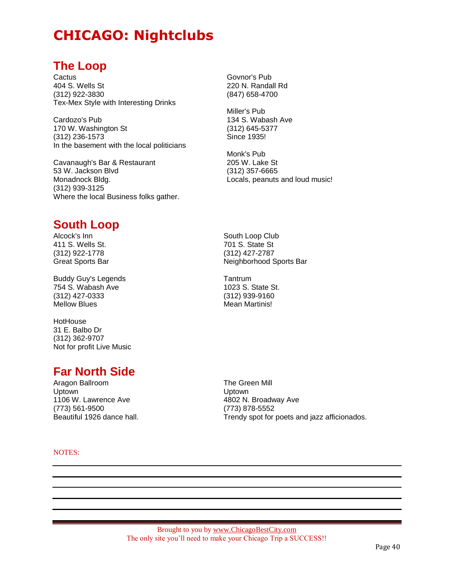# **CHICAGO: Nightclubs**

## **The Loop**

**Cactus** 404 S. Wells St (312) 922-3830 Tex-Mex Style with Interesting Drinks

Cardozo's Pub 170 W. Washington St (312) 236-1573 In the basement with the local politicians

Cavanaugh's Bar & Restaurant 53 W. Jackson Blvd Monadnock Bldg. (312) 939-3125 Where the local Business folks gather. Govnor's Pub 220 N. Randall Rd (847) 658-4700

Miller's Pub 134 S. Wabash Ave (312) 645-5377 Since 1935!

South Loop Club 701 S. State St (312) 427-2787

1023 S. State St. (312) 939-9160 Mean Martinis!

**Tantrum** 

Neighborhood Sports Bar

Monk's Pub 205 W. Lake St (312) 357-6665 Locals, peanuts and loud music!

# **South Loop**

Alcock's Inn 411 S. Wells St. (312) 922-1778 Great Sports Bar

Buddy Guy's Legends 754 S. Wabash Ave (312) 427-0333 Mellow Blues

**HotHouse** 31 E. Balbo Dr (312) 362-9707 Not for profit Live Music

# **Far North Side**

Aragon Ballroom Uptown 1106 W. Lawrence Ave (773) 561-9500 Beautiful 1926 dance hall.

The Green Mill Uptown 4802 N. Broadway Ave (773) 878-5552 Trendy spot for poets and jazz afficionados.

NOTES: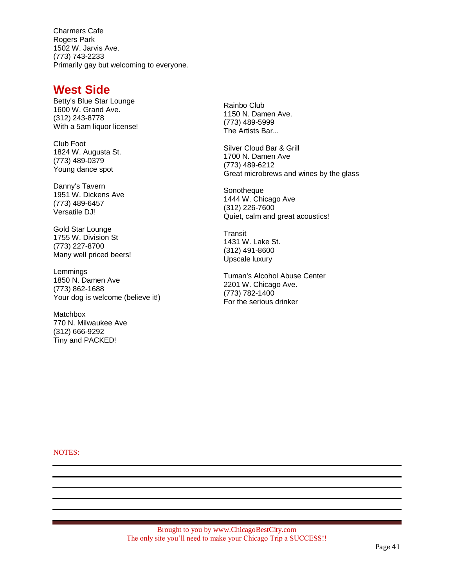Charmers Cafe Rogers Park 1502 W. Jarvis Ave. (773) 743-2233 Primarily gay but welcoming to everyone.

## **West Side**

Betty's Blue Star Lounge 1600 W. Grand Ave. (312) 243-8778 With a 5am liquor license!

Club Foot 1824 W. Augusta St. (773) 489-0379 Young dance spot

Danny's Tavern 1951 W. Dickens Ave (773) 489-6457 Versatile DJ!

Gold Star Lounge 1755 W. Division St (773) 227-8700 Many well priced beers!

Lemmings 1850 N. Damen Ave (773) 862-1688 Your dog is welcome (believe it!)

Matchbox 770 N. Milwaukee Ave (312) 666-9292 Tiny and PACKED!

Rainbo Club 1150 N. Damen Ave. (773) 489-5999 The Artists Bar...

Silver Cloud Bar & Grill 1700 N. Damen Ave (773) 489-6212 Great microbrews and wines by the glass

**Sonotheque** 1444 W. Chicago Ave (312) 226-7600 Quiet, calm and great acoustics!

**Transit** 1431 W. Lake St. (312) 491-8600 Upscale luxury

Tuman's Alcohol Abuse Center 2201 W. Chicago Ave. (773) 782-1400 For the serious drinker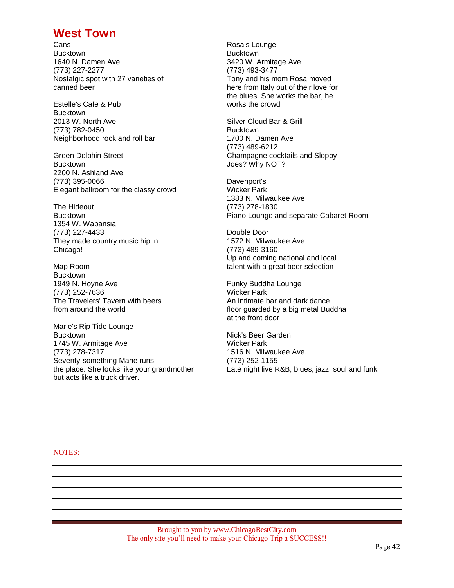## **West Town**

**Cans Bucktown** 1640 N. Damen Ave (773) 227-2277 Nostalgic spot with 27 varieties of canned beer

Estelle's Cafe & Pub **Bucktown** 2013 W. North Ave (773) 782-0450 Neighborhood rock and roll bar

Green Dolphin Street **Bucktown** 2200 N. Ashland Ave (773) 395-0066 Elegant ballroom for the classy crowd

The Hideout Bucktown 1354 W. Wabansia (773) 227-4433 They made country music hip in Chicago!

Map Room **Bucktown** 1949 N. Hoyne Ave (773) 252-7636 The Travelers' Tavern with beers from around the world

Marie's Rip Tide Lounge **Bucktown** 1745 W. Armitage Ave (773) 278-7317 Seventy-something Marie runs the place. She looks like your grandmother but acts like a truck driver.

Rosa's Lounge **Bucktown** 3420 W. Armitage Ave (773) 493-3477 Tony and his mom Rosa moved here from Italy out of their love for the blues. She works the bar, he works the crowd

Silver Cloud Bar & Grill Bucktown 1700 N. Damen Ave (773) 489-6212 Champagne cocktails and Sloppy Joes? Why NOT?

Davenport's Wicker Park 1383 N. Milwaukee Ave (773) 278-1830 Piano Lounge and separate Cabaret Room.

Double Door 1572 N. Milwaukee Ave (773) 489-3160 Up and coming national and local talent with a great beer selection

Funky Buddha Lounge Wicker Park An intimate bar and dark dance floor guarded by a big metal Buddha at the front door

Nick's Beer Garden Wicker Park 1516 N. Milwaukee Ave. (773) 252-1155 Late night live R&B, blues, jazz, soul and funk!

NOTES: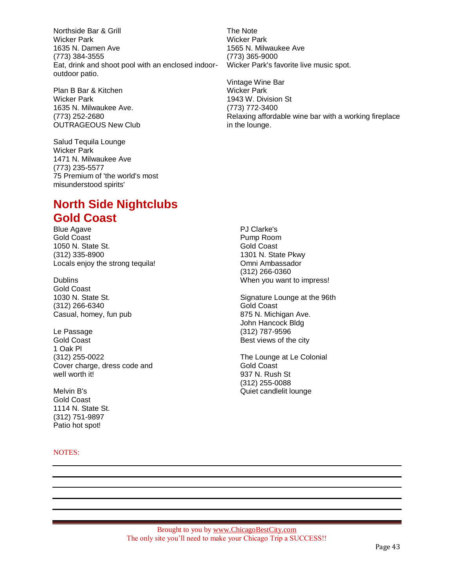Northside Bar & Grill Wicker Park 1635 N. Damen Ave (773) 384-3555 Eat, drink and shoot pool with an enclosed indooroutdoor patio.

Plan B Bar & Kitchen Wicker Park 1635 N. Milwaukee Ave. (773) 252-2680 OUTRAGEOUS New Club

Salud Tequila Lounge Wicker Park 1471 N. Milwaukee Ave (773) 235-5577 75 Premium of 'the world's most misunderstood spirits'

# **North Side Nightclubs Gold Coast**

Blue Agave Gold Coast 1050 N. State St. (312) 335-8900 Locals enjoy the strong tequila!

Dublins Gold Coast 1030 N. State St. (312) 266-6340 Casual, homey, fun pub

Le Passage Gold Coast 1 Oak Pl (312) 255-0022 Cover charge, dress code and well worth it!

Melvin B's Gold Coast 1114 N. State St. (312) 751-9897 Patio hot spot!

## NOTES:

The Note Wicker Park 1565 N. Milwaukee Ave (773) 365-9000 Wicker Park's favorite live music spot.

Vintage Wine Bar Wicker Park 1943 W. Division St (773) 772-3400 Relaxing affordable wine bar with a working fireplace in the lounge.

PJ Clarke's Pump Room Gold Coast 1301 N. State Pkwy Omni Ambassador (312) 266-0360 When you want to impress!

Signature Lounge at the 96th Gold Coast 875 N. Michigan Ave. John Hancock Bldg (312) 787-9596 Best views of the city

The Lounge at Le Colonial Gold Coast 937 N. Rush St (312) 255-0088 Quiet candlelit lounge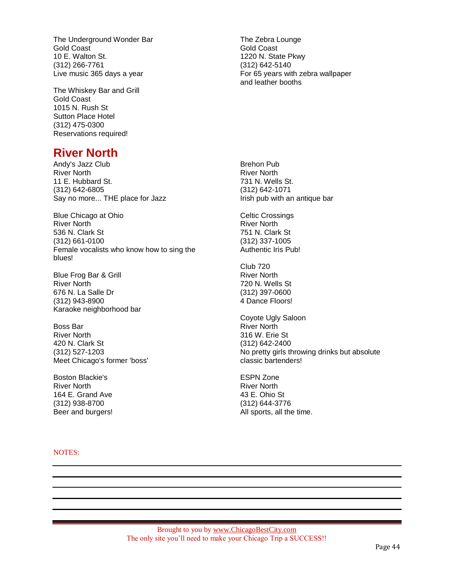The Underground Wonder Bar Gold Coast 10 E. Walton St. (312) 266-7761 Live music 365 days a year

The Whiskey Bar and Grill Gold Coast 1015 N. Rush St Sutton Place Hotel (312) 475-0300 Reservations required!

The Zebra Lounge Gold Coast 1220 N. State Pkwy (312) 642-5140 For 65 years with zebra wallpaper and leather booths

# **River North**

Andy's Jazz Club River North 11 E. Hubbard St. (312) 642-6805 Say no more... THE place for Jazz

Blue Chicago at Ohio River North 536 N. Clark St (312) 661-0100 Female vocalists who know how to sing the blues!

Blue Frog Bar & Grill River North 676 N. La Salle Dr (312) 943-8900 Karaoke neighborhood bar

Boss Bar River North 420 N. Clark St (312) 527-1203 Meet Chicago's former 'boss'

Boston Blackie's River North 164 E. Grand Ave (312) 938-8700 Beer and burgers!

NOTES:

Brehon Pub River North 731 N. Wells St. (312) 642-1071 Irish pub with an antique bar

Celtic Crossings River North 751 N. Clark St (312) 337-1005 Authentic Iris Pub!

Club 720 River North 720 N. Wells St (312) 397-0600 4 Dance Floors!

Coyote Ugly Saloon River North 316 W. Erie St (312) 642-2400 No pretty girls throwing drinks but absolute classic bartenders!

ESPN Zone River North 43 E. Ohio St (312) 644-3776 All sports, all the time.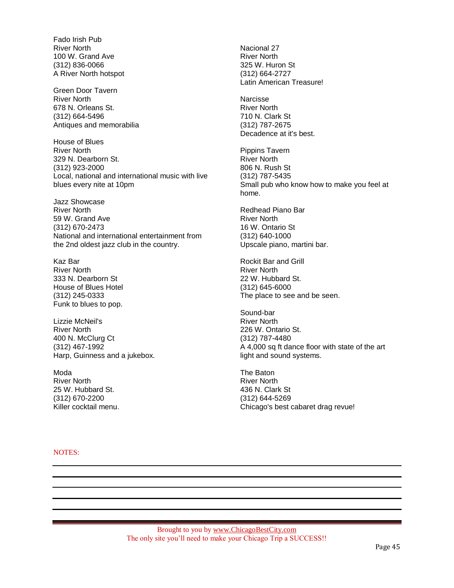Fado Irish Pub River North 100 W. Grand Ave (312) 836-0066 A River North hotspot

Green Door Tavern River North 678 N. Orleans St. (312) 664-5496 Antiques and memorabilia

House of Blues River North 329 N. Dearborn St. (312) 923-2000 Local, national and international music with live blues every nite at 10pm

Jazz Showcase River North 59 W. Grand Ave (312) 670-2473 National and international entertainment from the 2nd oldest jazz club in the country.

Kaz Bar River North 333 N. Dearborn St House of Blues Hotel (312) 245-0333 Funk to blues to pop.

Lizzie McNeil's River North 400 N. McClurg Ct (312) 467-1992 Harp, Guinness and a jukebox.

Moda River North 25 W. Hubbard St. (312) 670-2200 Killer cocktail menu. Nacional 27 River North 325 W. Huron St (312) 664-2727 Latin American Treasure!

**Narcisse** River North 710 N. Clark St (312) 787-2675 Decadence at it's best.

Pippins Tavern River North 806 N. Rush St (312) 787-5435 Small pub who know how to make you feel at home.

Redhead Piano Bar River North 16 W. Ontario St (312) 640-1000 Upscale piano, martini bar.

Rockit Bar and Grill River North 22 W. Hubbard St. (312) 645-6000 The place to see and be seen.

Sound-bar River North 226 W. Ontario St. (312) 787-4480 A 4,000 sq ft dance floor with state of the art light and sound systems.

The Baton River North 436 N. Clark St (312) 644-5269 Chicago's best cabaret drag revue!

NOTES: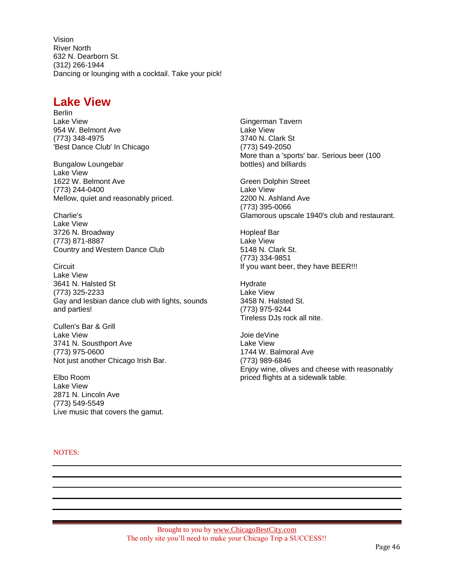Vision River North 632 N. Dearborn St. (312) 266-1944 Dancing or lounging with a cocktail. Take your pick!

## **Lake View**

Berlin Lake View 954 W. Belmont Ave (773) 348-4975 'Best Dance Club' In Chicago

Bungalow Loungebar Lake View 1622 W. Belmont Ave (773) 244-0400 Mellow, quiet and reasonably priced.

Charlie's Lake View 3726 N. Broadway (773) 871-8887 Country and Western Dance Club

**Circuit** Lake View 3641 N. Halsted St (773) 325-2233 Gay and lesbian dance club with lights, sounds and parties!

Cullen's Bar & Grill Lake View 3741 N. Sousthport Ave (773) 975-0600 Not just another Chicago Irish Bar.

Elbo Room Lake View 2871 N. Lincoln Ave (773) 549-5549 Live music that covers the gamut.

NOTES:

Gingerman Tavern Lake View 3740 N. Clark St (773) 549-2050 More than a 'sports' bar. Serious beer (100 bottles) and billiards

Green Dolphin Street Lake View 2200 N. Ashland Ave (773) 395-0066 Glamorous upscale 1940's club and restaurant.

Hopleaf Bar Lake View 5148 N. Clark St. (773) 334-9851 If you want beer, they have BEER!!!

**Hydrate** Lake View 3458 N. Halsted St. (773) 975-9244 Tireless DJs rock all nite.

Joie deVine Lake View 1744 W. Balmoral Ave (773) 989-6846 Enjoy wine, olives and cheese with reasonably priced flights at a sidewalk table.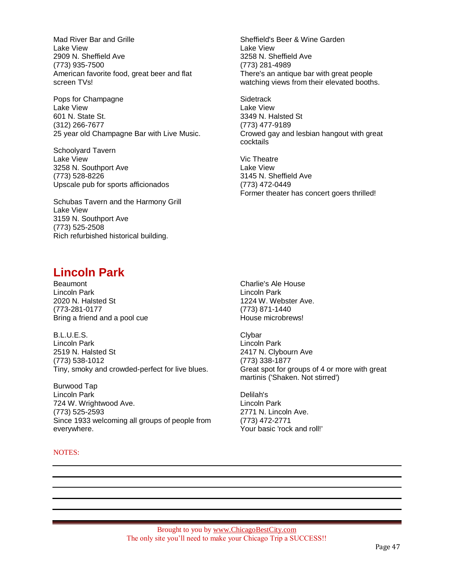Mad River Bar and Grille Lake View 2909 N. Sheffield Ave (773) 935-7500 American favorite food, great beer and flat screen TVs!

Pops for Champagne Lake View 601 N. State St. (312) 266-7677 25 year old Champagne Bar with Live Music.

Schoolyard Tavern Lake View 3258 N. Southport Ave (773) 528-8226 Upscale pub for sports afficionados

Schubas Tavern and the Harmony Grill Lake View 3159 N. Southport Ave (773) 525-2508 Rich refurbished historical building.

Sheffield's Beer & Wine Garden Lake View 3258 N. Sheffield Ave (773) 281-4989 There's an antique bar with great people watching views from their elevated booths.

**Sidetrack** Lake View 3349 N. Halsted St (773) 477-9189 Crowed gay and lesbian hangout with great cocktails

Vic Theatre Lake View 3145 N. Sheffield Ave (773) 472-0449 Former theater has concert goers thrilled!

## **Lincoln Park**

Beaumont Lincoln Park 2020 N. Halsted St (773-281-0177 Bring a friend and a pool cue

B.L.U.E.S. Lincoln Park 2519 N. Halsted St (773) 538-1012 Tiny, smoky and crowded-perfect for live blues.

Burwood Tap Lincoln Park 724 W. Wrightwood Ave. (773) 525-2593 Since 1933 welcoming all groups of people from everywhere.

## NOTES:

Charlie's Ale House Lincoln Park 1224 W. Webster Ave. (773) 871-1440 House microbrews!

**Clybar** Lincoln Park 2417 N. Clybourn Ave (773) 338-1877 Great spot for groups of 4 or more with great martinis ('Shaken. Not stirred')

Delilah's Lincoln Park 2771 N. Lincoln Ave. (773) 472-2771 Your basic 'rock and roll!'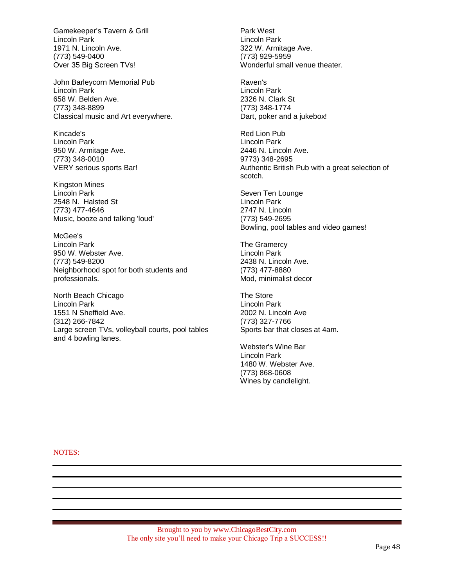Gamekeeper's Tavern & Grill Lincoln Park 1971 N. Lincoln Ave. (773) 549-0400 Over 35 Big Screen TVs!

John Barleycorn Memorial Pub Lincoln Park 658 W. Belden Ave. (773) 348-8899 Classical music and Art everywhere.

Kincade's Lincoln Park 950 W. Armitage Ave. (773) 348-0010 VERY serious sports Bar!

Kingston Mines Lincoln Park 2548 N. Halsted St (773) 477-4646 Music, booze and talking 'loud'

McGee's Lincoln Park 950 W. Webster Ave. (773) 549-8200 Neighborhood spot for both students and professionals.

North Beach Chicago Lincoln Park 1551 N Sheffield Ave. (312) 266-7842 Large screen TVs, volleyball courts, pool tables and 4 bowling lanes.

Park West Lincoln Park 322 W. Armitage Ave. (773) 929-5959 Wonderful small venue theater.

Raven's Lincoln Park 2326 N. Clark St (773) 348-1774 Dart, poker and a jukebox!

Red Lion Pub Lincoln Park 2446 N. Lincoln Ave. 9773) 348-2695 Authentic British Pub with a great selection of scotch.

Seven Ten Lounge Lincoln Park 2747 N. Lincoln (773) 549-2695 Bowling, pool tables and video games!

The Gramercy Lincoln Park 2438 N. Lincoln Ave. (773) 477-8880 Mod, minimalist decor

The Store Lincoln Park 2002 N. Lincoln Ave (773) 327-7766 Sports bar that closes at 4am.

Webster's Wine Bar Lincoln Park 1480 W. Webster Ave. (773) 868-0608 Wines by candlelight.

NOTES: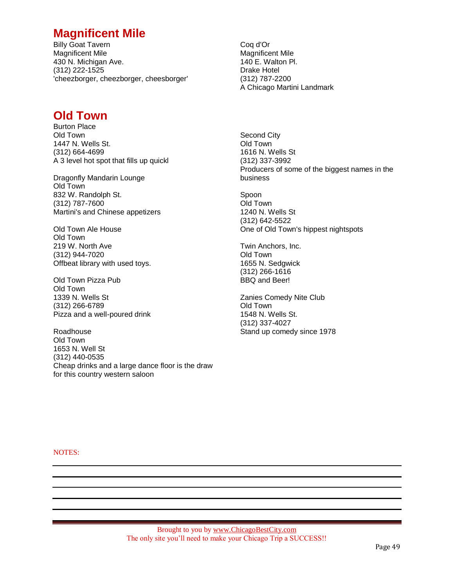## **Magnificent Mile**

Billy Goat Tavern Magnificent Mile 430 N. Michigan Ave. (312) 222-1525 'cheezborger, cheezborger, cheesborger'

## **Old Town**

Burton Place Old Town 1447 N. Wells St. (312) 664-4699 A 3 level hot spot that fills up quickl

Dragonfly Mandarin Lounge Old Town 832 W. Randolph St. (312) 787-7600 Martini's and Chinese appetizers

Old Town Ale House Old Town 219 W. North Ave (312) 944-7020 Offbeat library with used toys.

Old Town Pizza Pub Old Town 1339 N. Wells St (312) 266-6789 Pizza and a well-poured drink

Roadhouse Old Town 1653 N. Well St (312) 440-0535 Cheap drinks and a large dance floor is the draw for this country western saloon

Coq d'Or Magnificent Mile 140 E. Walton Pl. Drake Hotel (312) 787-2200 A Chicago Martini Landmark

Second City Old Town 1616 N. Wells St (312) 337-3992 Producers of some of the biggest names in the business

Spoon Old Town 1240 N. Wells St (312) 642-5522 One of Old Town's hippest nightspots

Twin Anchors, Inc. Old Town 1655 N. Sedgwick (312) 266-1616 BBQ and Beer!

Zanies Comedy Nite Club Old Town 1548 N. Wells St. (312) 337-4027 Stand up comedy since 1978

NOTES: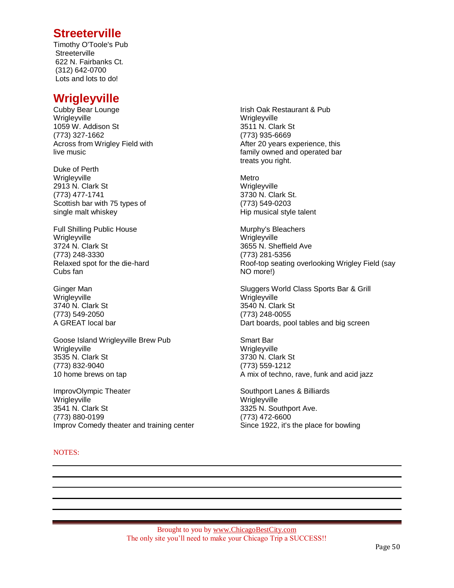## **Streeterville**

Timothy O'Toole's Pub **Streeterville** 622 N. Fairbanks Ct. (312) 642-0700 Lots and lots to do!

## **Wrigleyville**

Cubby Bear Lounge Wrigleyville 1059 W. Addison St (773) 327-1662 Across from Wrigley Field with live music

Duke of Perth Wrigleyville 2913 N. Clark St (773) 477-1741 Scottish bar with 75 types of single malt whiskey

Full Shilling Public House **Wrigleyville** 3724 N. Clark St (773) 248-3330 Relaxed spot for the die-hard Cubs fan

Ginger Man **Wrigleyville** 3740 N. Clark St (773) 549-2050 A GREAT local bar

Goose Island Wrigleyville Brew Pub Wrigleyville 3535 N. Clark St (773) 832-9040 10 home brews on tap

ImprovOlympic Theater Wrigleyville 3541 N. Clark St (773) 880-0199 Improv Comedy theater and training center

## NOTES:

Irish Oak Restaurant & Pub **Wrigleyville** 3511 N. Clark St (773) 935-6669 After 20 years experience, this family owned and operated bar treats you right.

Metro **Wrigleyville** 3730 N. Clark St. (773) 549-0203 Hip musical style talent

Murphy's Bleachers **Wrigleyville** 3655 N. Sheffield Ave (773) 281-5356 Roof-top seating overlooking Wrigley Field (say NO more!)

Sluggers World Class Sports Bar & Grill **Wrigleyville** 3540 N. Clark St (773) 248-0055 Dart boards, pool tables and big screen

Smart Bar Wrigleyville 3730 N. Clark St (773) 559-1212 A mix of techno, rave, funk and acid jazz

Southport Lanes & Billiards Wrigleyville 3325 N. Southport Ave. (773) 472-6600 Since 1922, it's the place for bowling